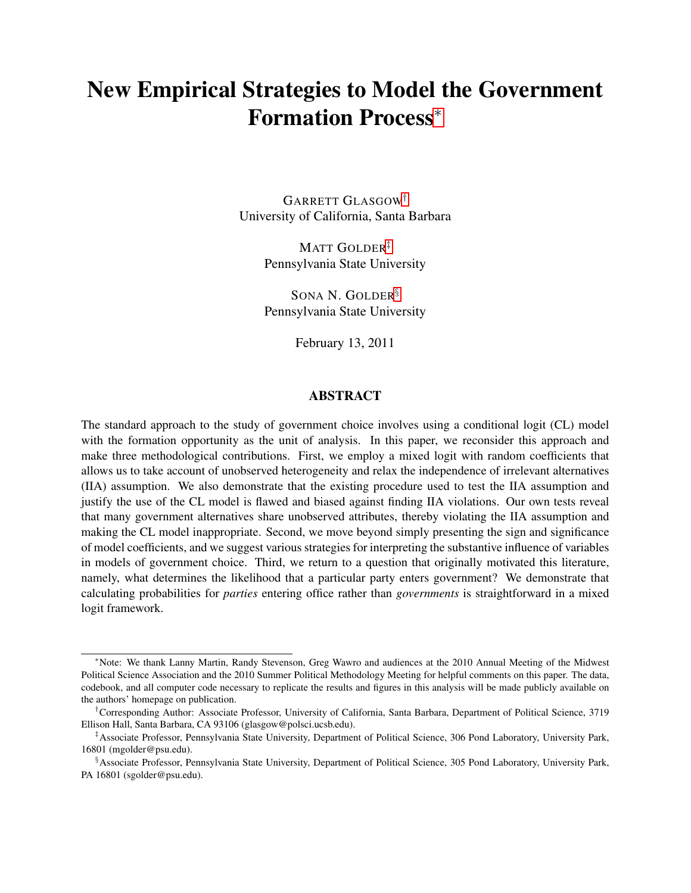# New Empirical Strategies to Model the Government Formation Process[∗](#page-0-0)

GARRETT GLASGOW[†](#page-0-1) University of California, Santa Barbara

> MATT GOLDER<sup>[‡](#page-0-2)</sup> Pennsylvania State University

> SONA N. GOLDER[§](#page-0-3) Pennsylvania State University

> > February 13, 2011

#### ABSTRACT

The standard approach to the study of government choice involves using a conditional logit (CL) model with the formation opportunity as the unit of analysis. In this paper, we reconsider this approach and make three methodological contributions. First, we employ a mixed logit with random coefficients that allows us to take account of unobserved heterogeneity and relax the independence of irrelevant alternatives (IIA) assumption. We also demonstrate that the existing procedure used to test the IIA assumption and justify the use of the CL model is flawed and biased against finding IIA violations. Our own tests reveal that many government alternatives share unobserved attributes, thereby violating the IIA assumption and making the CL model inappropriate. Second, we move beyond simply presenting the sign and significance of model coefficients, and we suggest various strategies for interpreting the substantive influence of variables in models of government choice. Third, we return to a question that originally motivated this literature, namely, what determines the likelihood that a particular party enters government? We demonstrate that calculating probabilities for *parties* entering office rather than *governments* is straightforward in a mixed logit framework.

<span id="page-0-0"></span><sup>∗</sup>Note: We thank Lanny Martin, Randy Stevenson, Greg Wawro and audiences at the 2010 Annual Meeting of the Midwest Political Science Association and the 2010 Summer Political Methodology Meeting for helpful comments on this paper. The data, codebook, and all computer code necessary to replicate the results and figures in this analysis will be made publicly available on the authors' homepage on publication.

<span id="page-0-1"></span><sup>†</sup>Corresponding Author: Associate Professor, University of California, Santa Barbara, Department of Political Science, 3719 Ellison Hall, Santa Barbara, CA 93106 (glasgow@polsci.ucsb.edu).

<span id="page-0-2"></span><sup>‡</sup>Associate Professor, Pennsylvania State University, Department of Political Science, 306 Pond Laboratory, University Park, 16801 (mgolder@psu.edu).

<span id="page-0-3"></span><sup>§</sup>Associate Professor, Pennsylvania State University, Department of Political Science, 305 Pond Laboratory, University Park, PA 16801 (sgolder@psu.edu).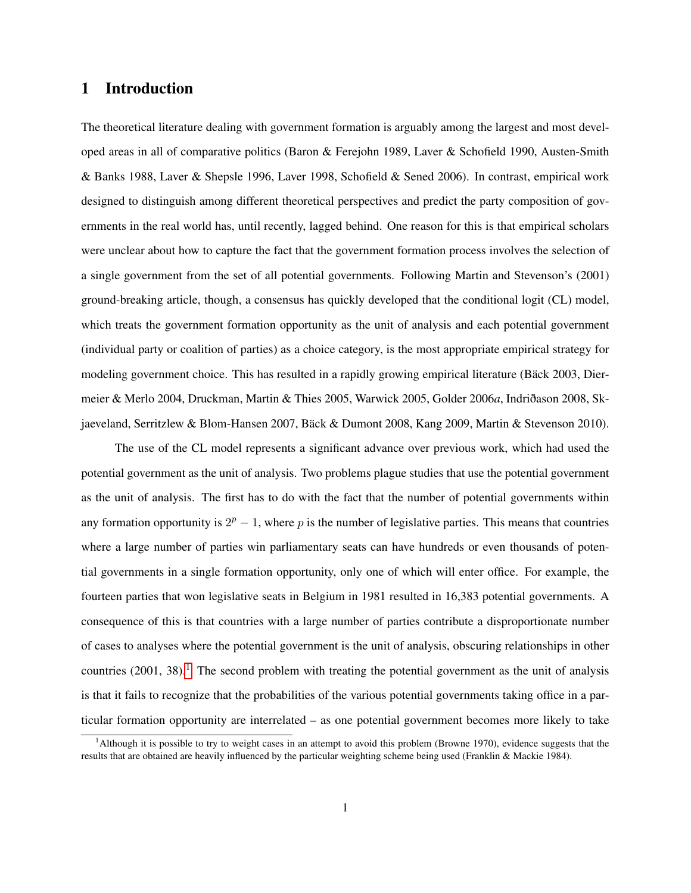## 1 Introduction

The theoretical literature dealing with government formation is arguably among the largest and most developed areas in all of comparative politics (Baron & Ferejohn 1989, Laver & Schofield 1990, Austen-Smith & Banks 1988, Laver & Shepsle 1996, Laver 1998, Schofield & Sened 2006). In contrast, empirical work designed to distinguish among different theoretical perspectives and predict the party composition of governments in the real world has, until recently, lagged behind. One reason for this is that empirical scholars were unclear about how to capture the fact that the government formation process involves the selection of a single government from the set of all potential governments. Following Martin and Stevenson's (2001) ground-breaking article, though, a consensus has quickly developed that the conditional logit (CL) model, which treats the government formation opportunity as the unit of analysis and each potential government (individual party or coalition of parties) as a choice category, is the most appropriate empirical strategy for modeling government choice. This has resulted in a rapidly growing empirical literature (Bäck 2003, Diermeier & Merlo 2004, Druckman, Martin & Thies 2005, Warwick 2005, Golder 2006*a*, Indriðason 2008, Skjaeveland, Serritzlew & Blom-Hansen 2007, Bäck & Dumont 2008, Kang 2009, Martin & Stevenson 2010).

The use of the CL model represents a significant advance over previous work, which had used the potential government as the unit of analysis. Two problems plague studies that use the potential government as the unit of analysis. The first has to do with the fact that the number of potential governments within any formation opportunity is  $2^p - 1$ , where p is the number of legislative parties. This means that countries where a large number of parties win parliamentary seats can have hundreds or even thousands of potential governments in a single formation opportunity, only one of which will enter office. For example, the fourteen parties that won legislative seats in Belgium in 1981 resulted in 16,383 potential governments. A consequence of this is that countries with a large number of parties contribute a disproportionate number of cases to analyses where the potential government is the unit of analysis, obscuring relationships in other countries  $(2001, 38)$  $(2001, 38)$  $(2001, 38)$ .<sup>1</sup> The second problem with treating the potential government as the unit of analysis is that it fails to recognize that the probabilities of the various potential governments taking office in a particular formation opportunity are interrelated – as one potential government becomes more likely to take

<span id="page-1-0"></span><sup>&</sup>lt;sup>1</sup>Although it is possible to try to weight cases in an attempt to avoid this problem (Browne 1970), evidence suggests that the results that are obtained are heavily influenced by the particular weighting scheme being used (Franklin & Mackie 1984).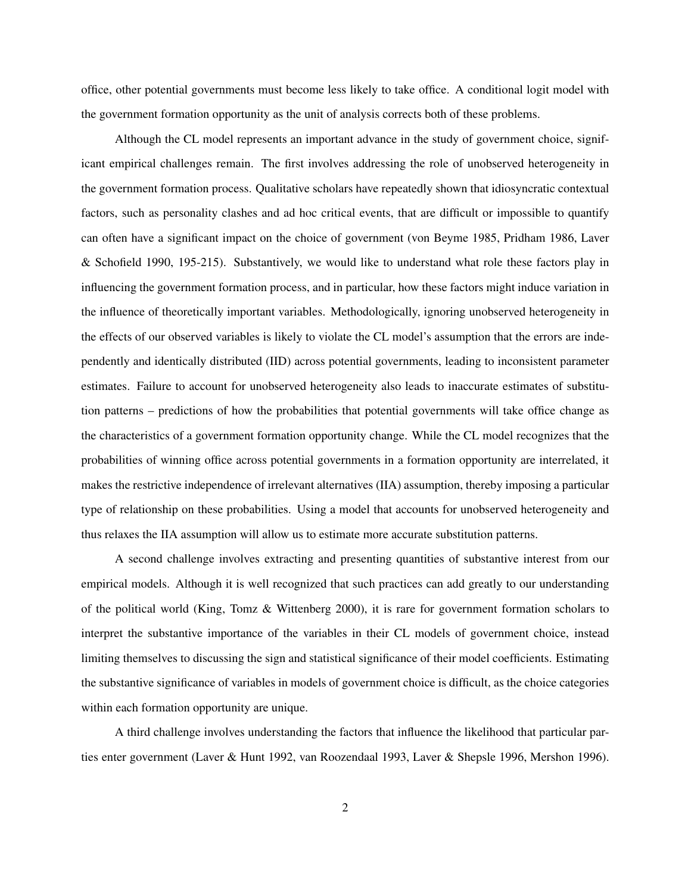office, other potential governments must become less likely to take office. A conditional logit model with the government formation opportunity as the unit of analysis corrects both of these problems.

Although the CL model represents an important advance in the study of government choice, significant empirical challenges remain. The first involves addressing the role of unobserved heterogeneity in the government formation process. Qualitative scholars have repeatedly shown that idiosyncratic contextual factors, such as personality clashes and ad hoc critical events, that are difficult or impossible to quantify can often have a significant impact on the choice of government (von Beyme 1985, Pridham 1986, Laver & Schofield 1990, 195-215). Substantively, we would like to understand what role these factors play in influencing the government formation process, and in particular, how these factors might induce variation in the influence of theoretically important variables. Methodologically, ignoring unobserved heterogeneity in the effects of our observed variables is likely to violate the CL model's assumption that the errors are independently and identically distributed (IID) across potential governments, leading to inconsistent parameter estimates. Failure to account for unobserved heterogeneity also leads to inaccurate estimates of substitution patterns – predictions of how the probabilities that potential governments will take office change as the characteristics of a government formation opportunity change. While the CL model recognizes that the probabilities of winning office across potential governments in a formation opportunity are interrelated, it makes the restrictive independence of irrelevant alternatives (IIA) assumption, thereby imposing a particular type of relationship on these probabilities. Using a model that accounts for unobserved heterogeneity and thus relaxes the IIA assumption will allow us to estimate more accurate substitution patterns.

A second challenge involves extracting and presenting quantities of substantive interest from our empirical models. Although it is well recognized that such practices can add greatly to our understanding of the political world (King, Tomz & Wittenberg 2000), it is rare for government formation scholars to interpret the substantive importance of the variables in their CL models of government choice, instead limiting themselves to discussing the sign and statistical significance of their model coefficients. Estimating the substantive significance of variables in models of government choice is difficult, as the choice categories within each formation opportunity are unique.

A third challenge involves understanding the factors that influence the likelihood that particular parties enter government (Laver & Hunt 1992, van Roozendaal 1993, Laver & Shepsle 1996, Mershon 1996).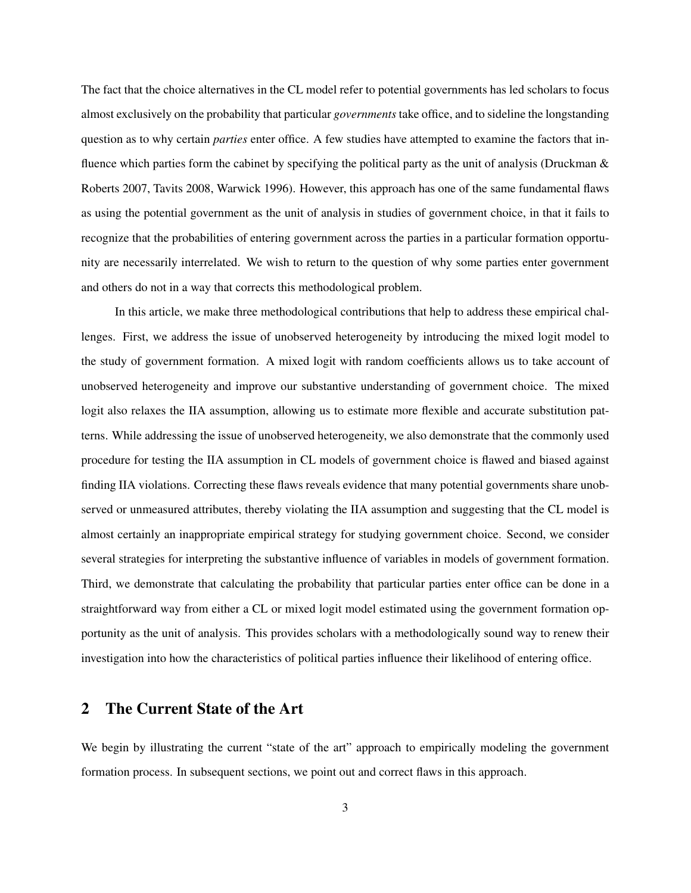The fact that the choice alternatives in the CL model refer to potential governments has led scholars to focus almost exclusively on the probability that particular *governments* take office, and to sideline the longstanding question as to why certain *parties* enter office. A few studies have attempted to examine the factors that influence which parties form the cabinet by specifying the political party as the unit of analysis (Druckman & Roberts 2007, Tavits 2008, Warwick 1996). However, this approach has one of the same fundamental flaws as using the potential government as the unit of analysis in studies of government choice, in that it fails to recognize that the probabilities of entering government across the parties in a particular formation opportunity are necessarily interrelated. We wish to return to the question of why some parties enter government and others do not in a way that corrects this methodological problem.

In this article, we make three methodological contributions that help to address these empirical challenges. First, we address the issue of unobserved heterogeneity by introducing the mixed logit model to the study of government formation. A mixed logit with random coefficients allows us to take account of unobserved heterogeneity and improve our substantive understanding of government choice. The mixed logit also relaxes the IIA assumption, allowing us to estimate more flexible and accurate substitution patterns. While addressing the issue of unobserved heterogeneity, we also demonstrate that the commonly used procedure for testing the IIA assumption in CL models of government choice is flawed and biased against finding IIA violations. Correcting these flaws reveals evidence that many potential governments share unobserved or unmeasured attributes, thereby violating the IIA assumption and suggesting that the CL model is almost certainly an inappropriate empirical strategy for studying government choice. Second, we consider several strategies for interpreting the substantive influence of variables in models of government formation. Third, we demonstrate that calculating the probability that particular parties enter office can be done in a straightforward way from either a CL or mixed logit model estimated using the government formation opportunity as the unit of analysis. This provides scholars with a methodologically sound way to renew their investigation into how the characteristics of political parties influence their likelihood of entering office.

# 2 The Current State of the Art

We begin by illustrating the current "state of the art" approach to empirically modeling the government formation process. In subsequent sections, we point out and correct flaws in this approach.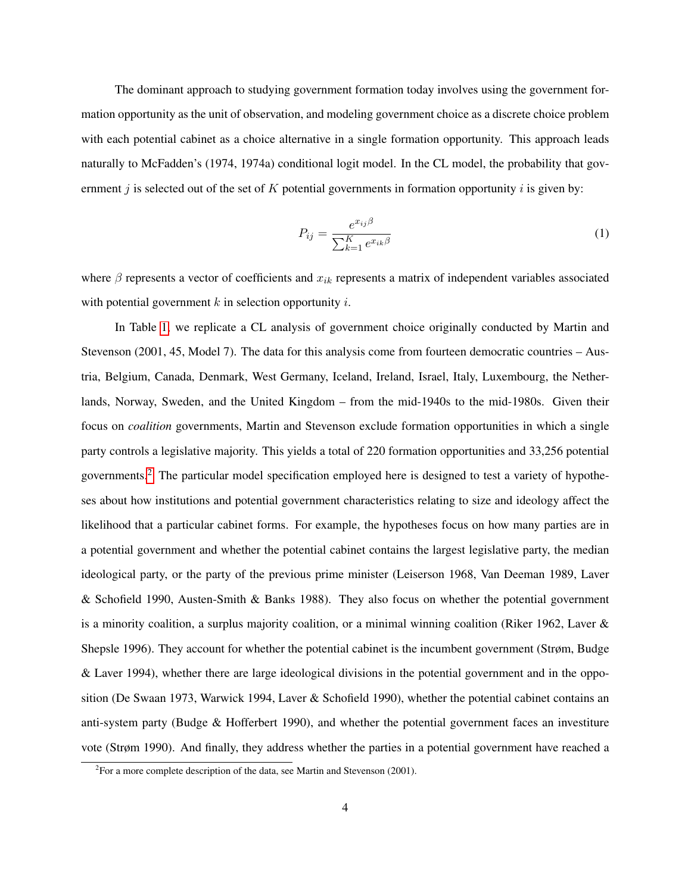The dominant approach to studying government formation today involves using the government formation opportunity as the unit of observation, and modeling government choice as a discrete choice problem with each potential cabinet as a choice alternative in a single formation opportunity. This approach leads naturally to McFadden's (1974, 1974a) conditional logit model. In the CL model, the probability that government j is selected out of the set of K potential governments in formation opportunity i is given by:

<span id="page-4-1"></span>
$$
P_{ij} = \frac{e^{x_{ij}\beta}}{\sum_{k=1}^{K} e^{x_{ik}\beta}}
$$
 (1)

where  $\beta$  represents a vector of coefficients and  $x_{ik}$  represents a matrix of independent variables associated with potential government  $k$  in selection opportunity  $i$ .

In Table [1,](#page-5-0) we replicate a CL analysis of government choice originally conducted by Martin and Stevenson (2001, 45, Model 7). The data for this analysis come from fourteen democratic countries – Austria, Belgium, Canada, Denmark, West Germany, Iceland, Ireland, Israel, Italy, Luxembourg, the Netherlands, Norway, Sweden, and the United Kingdom – from the mid-1940s to the mid-1980s. Given their focus on *coalition* governments, Martin and Stevenson exclude formation opportunities in which a single party controls a legislative majority. This yields a total of 220 formation opportunities and 33,256 potential governments.[2](#page-4-0) The particular model specification employed here is designed to test a variety of hypotheses about how institutions and potential government characteristics relating to size and ideology affect the likelihood that a particular cabinet forms. For example, the hypotheses focus on how many parties are in a potential government and whether the potential cabinet contains the largest legislative party, the median ideological party, or the party of the previous prime minister (Leiserson 1968, Van Deeman 1989, Laver & Schofield 1990, Austen-Smith & Banks 1988). They also focus on whether the potential government is a minority coalition, a surplus majority coalition, or a minimal winning coalition (Riker 1962, Laver & Shepsle 1996). They account for whether the potential cabinet is the incumbent government (Strøm, Budge & Laver 1994), whether there are large ideological divisions in the potential government and in the opposition (De Swaan 1973, Warwick 1994, Laver & Schofield 1990), whether the potential cabinet contains an anti-system party (Budge & Hofferbert 1990), and whether the potential government faces an investiture vote (Strøm 1990). And finally, they address whether the parties in a potential government have reached a

<span id="page-4-0"></span> ${}^{2}$ For a more complete description of the data, see Martin and Stevenson (2001).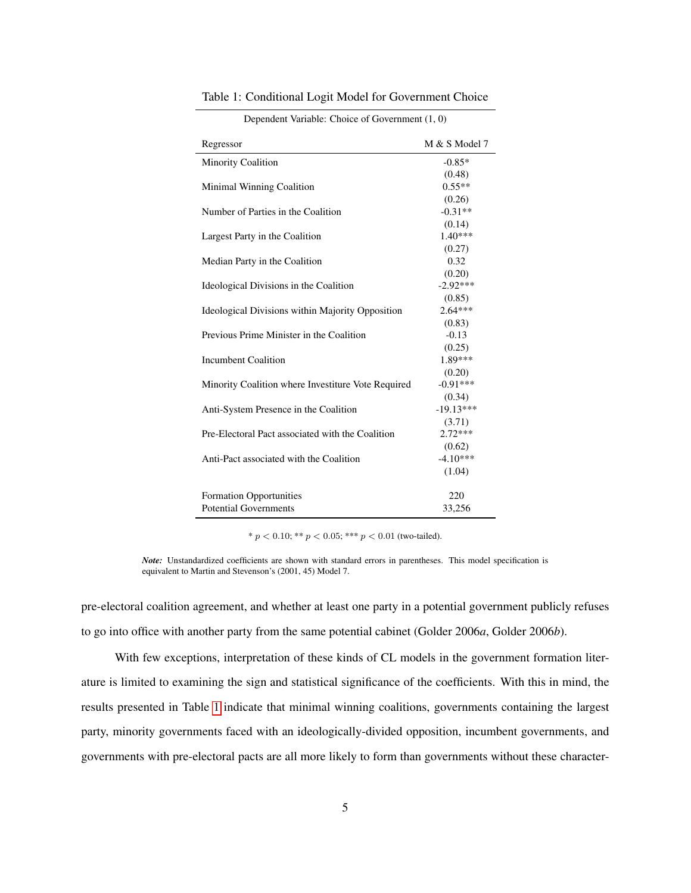| Regressor                                          | M & S Model 7 |
|----------------------------------------------------|---------------|
| <b>Minority Coalition</b>                          | $-0.85*$      |
|                                                    | (0.48)        |
| Minimal Winning Coalition                          | $0.55**$      |
|                                                    | (0.26)        |
| Number of Parties in the Coalition                 | $-0.31**$     |
|                                                    | (0.14)        |
| Largest Party in the Coalition                     | $1.40***$     |
|                                                    | (0.27)        |
| Median Party in the Coalition                      | 0.32          |
|                                                    | (0.20)        |
| Ideological Divisions in the Coalition             | $-2.92***$    |
|                                                    | (0.85)        |
| Ideological Divisions within Majority Opposition   | $2.64***$     |
|                                                    | (0.83)        |
| Previous Prime Minister in the Coalition           | $-0.13$       |
|                                                    | (0.25)        |
| Incumbent Coalition                                | 1.89***       |
|                                                    | (0.20)        |
| Minority Coalition where Investiture Vote Required | $-0.91***$    |
|                                                    | (0.34)        |
| Anti-System Presence in the Coalition              | $-19.13***$   |
|                                                    | (3.71)        |
| Pre-Electoral Pact associated with the Coalition   | $2.72***$     |
|                                                    | (0.62)        |
| Anti-Pact associated with the Coalition            | $-4.10***$    |
|                                                    | (1.04)        |
|                                                    |               |
| <b>Formation Opportunities</b>                     | 220           |
| <b>Potential Governments</b>                       | 33,256        |

Table 1: Conditional Logit Model for Government Choice

<span id="page-5-0"></span>

|  |  |  | Dependent Variable: Choice of Government (1, 0) |  |  |  |
|--|--|--|-------------------------------------------------|--|--|--|
|--|--|--|-------------------------------------------------|--|--|--|

\*  $p < 0.10$ ; \*\*  $p < 0.05$ ; \*\*\*  $p < 0.01$  (two-tailed).

*Note:* Unstandardized coefficients are shown with standard errors in parentheses. This model specification is equivalent to Martin and Stevenson's (2001, 45) Model 7.

pre-electoral coalition agreement, and whether at least one party in a potential government publicly refuses to go into office with another party from the same potential cabinet (Golder 2006*a*, Golder 2006*b*).

With few exceptions, interpretation of these kinds of CL models in the government formation literature is limited to examining the sign and statistical significance of the coefficients. With this in mind, the results presented in Table [1](#page-5-0) indicate that minimal winning coalitions, governments containing the largest party, minority governments faced with an ideologically-divided opposition, incumbent governments, and governments with pre-electoral pacts are all more likely to form than governments without these character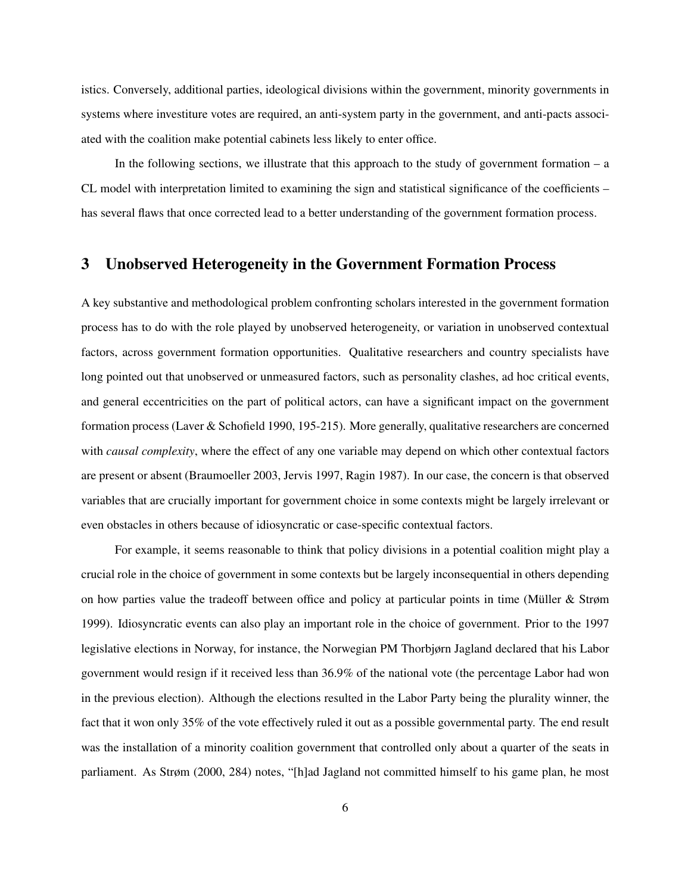istics. Conversely, additional parties, ideological divisions within the government, minority governments in systems where investiture votes are required, an anti-system party in the government, and anti-pacts associated with the coalition make potential cabinets less likely to enter office.

In the following sections, we illustrate that this approach to the study of government formation – a CL model with interpretation limited to examining the sign and statistical significance of the coefficients – has several flaws that once corrected lead to a better understanding of the government formation process.

# 3 Unobserved Heterogeneity in the Government Formation Process

A key substantive and methodological problem confronting scholars interested in the government formation process has to do with the role played by unobserved heterogeneity, or variation in unobserved contextual factors, across government formation opportunities. Qualitative researchers and country specialists have long pointed out that unobserved or unmeasured factors, such as personality clashes, ad hoc critical events, and general eccentricities on the part of political actors, can have a significant impact on the government formation process (Laver & Schofield 1990, 195-215). More generally, qualitative researchers are concerned with *causal complexity*, where the effect of any one variable may depend on which other contextual factors are present or absent (Braumoeller 2003, Jervis 1997, Ragin 1987). In our case, the concern is that observed variables that are crucially important for government choice in some contexts might be largely irrelevant or even obstacles in others because of idiosyncratic or case-specific contextual factors.

For example, it seems reasonable to think that policy divisions in a potential coalition might play a crucial role in the choice of government in some contexts but be largely inconsequential in others depending on how parties value the tradeoff between office and policy at particular points in time (Müller & Strøm 1999). Idiosyncratic events can also play an important role in the choice of government. Prior to the 1997 legislative elections in Norway, for instance, the Norwegian PM Thorbjørn Jagland declared that his Labor government would resign if it received less than 36.9% of the national vote (the percentage Labor had won in the previous election). Although the elections resulted in the Labor Party being the plurality winner, the fact that it won only 35% of the vote effectively ruled it out as a possible governmental party. The end result was the installation of a minority coalition government that controlled only about a quarter of the seats in parliament. As Strøm (2000, 284) notes, "[h]ad Jagland not committed himself to his game plan, he most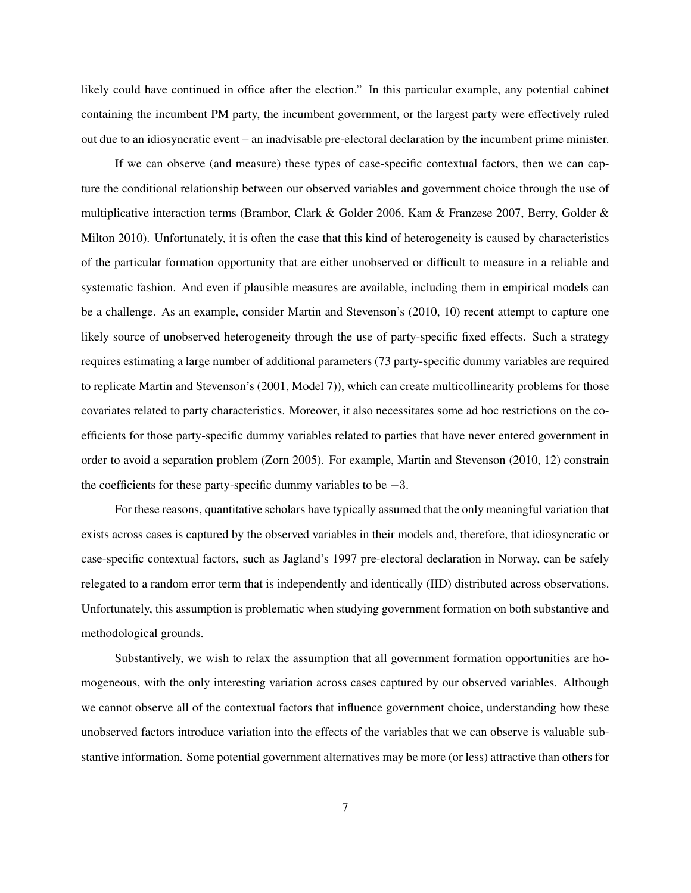likely could have continued in office after the election." In this particular example, any potential cabinet containing the incumbent PM party, the incumbent government, or the largest party were effectively ruled out due to an idiosyncratic event – an inadvisable pre-electoral declaration by the incumbent prime minister.

If we can observe (and measure) these types of case-specific contextual factors, then we can capture the conditional relationship between our observed variables and government choice through the use of multiplicative interaction terms (Brambor, Clark & Golder 2006, Kam & Franzese 2007, Berry, Golder & Milton 2010). Unfortunately, it is often the case that this kind of heterogeneity is caused by characteristics of the particular formation opportunity that are either unobserved or difficult to measure in a reliable and systematic fashion. And even if plausible measures are available, including them in empirical models can be a challenge. As an example, consider Martin and Stevenson's (2010, 10) recent attempt to capture one likely source of unobserved heterogeneity through the use of party-specific fixed effects. Such a strategy requires estimating a large number of additional parameters (73 party-specific dummy variables are required to replicate Martin and Stevenson's (2001, Model 7)), which can create multicollinearity problems for those covariates related to party characteristics. Moreover, it also necessitates some ad hoc restrictions on the coefficients for those party-specific dummy variables related to parties that have never entered government in order to avoid a separation problem (Zorn 2005). For example, Martin and Stevenson (2010, 12) constrain the coefficients for these party-specific dummy variables to be  $-3$ .

For these reasons, quantitative scholars have typically assumed that the only meaningful variation that exists across cases is captured by the observed variables in their models and, therefore, that idiosyncratic or case-specific contextual factors, such as Jagland's 1997 pre-electoral declaration in Norway, can be safely relegated to a random error term that is independently and identically (IID) distributed across observations. Unfortunately, this assumption is problematic when studying government formation on both substantive and methodological grounds.

Substantively, we wish to relax the assumption that all government formation opportunities are homogeneous, with the only interesting variation across cases captured by our observed variables. Although we cannot observe all of the contextual factors that influence government choice, understanding how these unobserved factors introduce variation into the effects of the variables that we can observe is valuable substantive information. Some potential government alternatives may be more (or less) attractive than others for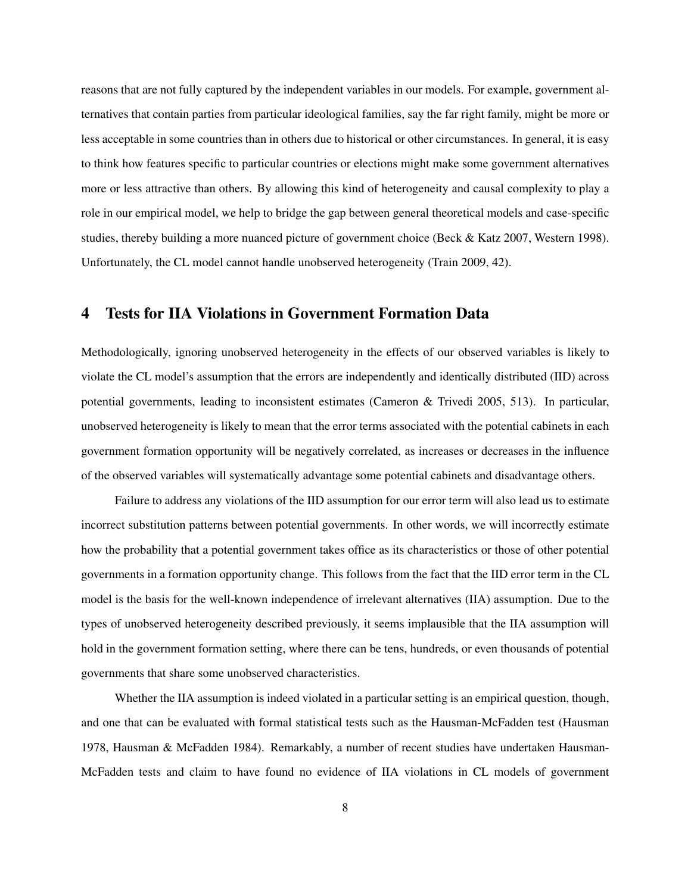reasons that are not fully captured by the independent variables in our models. For example, government alternatives that contain parties from particular ideological families, say the far right family, might be more or less acceptable in some countries than in others due to historical or other circumstances. In general, it is easy to think how features specific to particular countries or elections might make some government alternatives more or less attractive than others. By allowing this kind of heterogeneity and causal complexity to play a role in our empirical model, we help to bridge the gap between general theoretical models and case-specific studies, thereby building a more nuanced picture of government choice (Beck & Katz 2007, Western 1998). Unfortunately, the CL model cannot handle unobserved heterogeneity (Train 2009, 42).

### 4 Tests for IIA Violations in Government Formation Data

Methodologically, ignoring unobserved heterogeneity in the effects of our observed variables is likely to violate the CL model's assumption that the errors are independently and identically distributed (IID) across potential governments, leading to inconsistent estimates (Cameron & Trivedi 2005, 513). In particular, unobserved heterogeneity is likely to mean that the error terms associated with the potential cabinets in each government formation opportunity will be negatively correlated, as increases or decreases in the influence of the observed variables will systematically advantage some potential cabinets and disadvantage others.

Failure to address any violations of the IID assumption for our error term will also lead us to estimate incorrect substitution patterns between potential governments. In other words, we will incorrectly estimate how the probability that a potential government takes office as its characteristics or those of other potential governments in a formation opportunity change. This follows from the fact that the IID error term in the CL model is the basis for the well-known independence of irrelevant alternatives (IIA) assumption. Due to the types of unobserved heterogeneity described previously, it seems implausible that the IIA assumption will hold in the government formation setting, where there can be tens, hundreds, or even thousands of potential governments that share some unobserved characteristics.

Whether the IIA assumption is indeed violated in a particular setting is an empirical question, though, and one that can be evaluated with formal statistical tests such as the Hausman-McFadden test (Hausman 1978, Hausman & McFadden 1984). Remarkably, a number of recent studies have undertaken Hausman-McFadden tests and claim to have found no evidence of IIA violations in CL models of government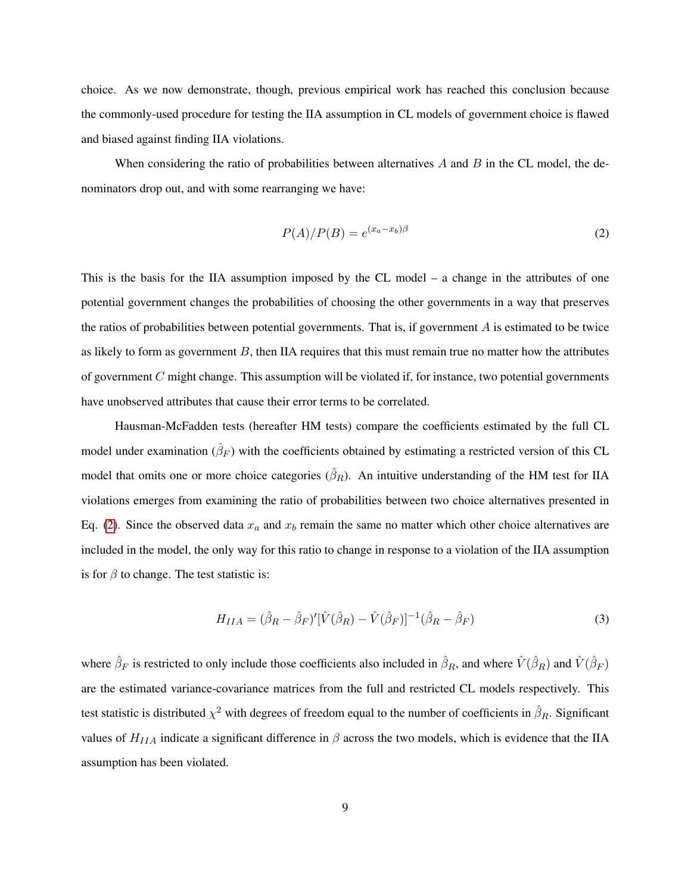choice. As we now demonstrate, though, previous empirical work has reached this conclusion because the commonly-used procedure for testing the IIA assumption in CL models of government choice is flawed and biased against finding IIA violations.

When considering the ratio of probabilities between alternatives  $\vec{A}$  and  $\vec{B}$  in the CL model, the denominators drop out, and with some rearranging we have:

<span id="page-9-0"></span>
$$
P(A)/P(B) = e^{(x_a - x_b)\beta} \tag{2}
$$

This is the basis for the IIA assumption imposed by the CL model – a change in the attributes of one potential government changes the probabilities of choosing the other governments in a way that preserves the ratios of probabilities between potential governments. That is, if government  $A$  is estimated to be twice as likely to form as government  $B$ , then IIA requires that this must remain true no matter how the attributes of government  $C$  might change. This assumption will be violated if, for instance, two potential governments have unobserved attributes that cause their error terms to be correlated.

Hausman-McFadden tests (hereafter HM tests) compare the coefficients estimated by the full CL model under examination  $(\hat{\beta}_F)$  with the coefficients obtained by estimating a restricted version of this CL model that omits one or more choice categories  $(\hat{\beta}_R)$ . An intuitive understanding of the HM test for IIA violations emerges from examining the ratio of probabilities between two choice alternatives presented in Eq. [\(2\)](#page-9-0). Since the observed data  $x_a$  and  $x_b$  remain the same no matter which other choice alternatives are included in the model, the only way for this ratio to change in response to a violation of the IIA assumption is for  $\beta$  to change. The test statistic is:

$$
H_{IIA} = (\hat{\beta}_R - \hat{\beta}_F)' [\hat{V}(\hat{\beta}_R) - \hat{V}(\hat{\beta}_F)]^{-1} (\hat{\beta}_R - \hat{\beta}_F)
$$
(3)

where  $\hat{\beta}_F$  is restricted to only include those coefficients also included in  $\hat{\beta}_R$ , and where  $\hat{V}(\hat{\beta}_R)$  and  $\hat{V}(\hat{\beta}_F)$ are the estimated variance-covariance matrices from the full and restricted CL models respectively. This test statistic is distributed  $\chi^2$  with degrees of freedom equal to the number of coefficients in  $\hat\beta_R$ . Significant values of  $H_{IIA}$  indicate a significant difference in  $\beta$  across the two models, which is evidence that the IIA assumption has been violated.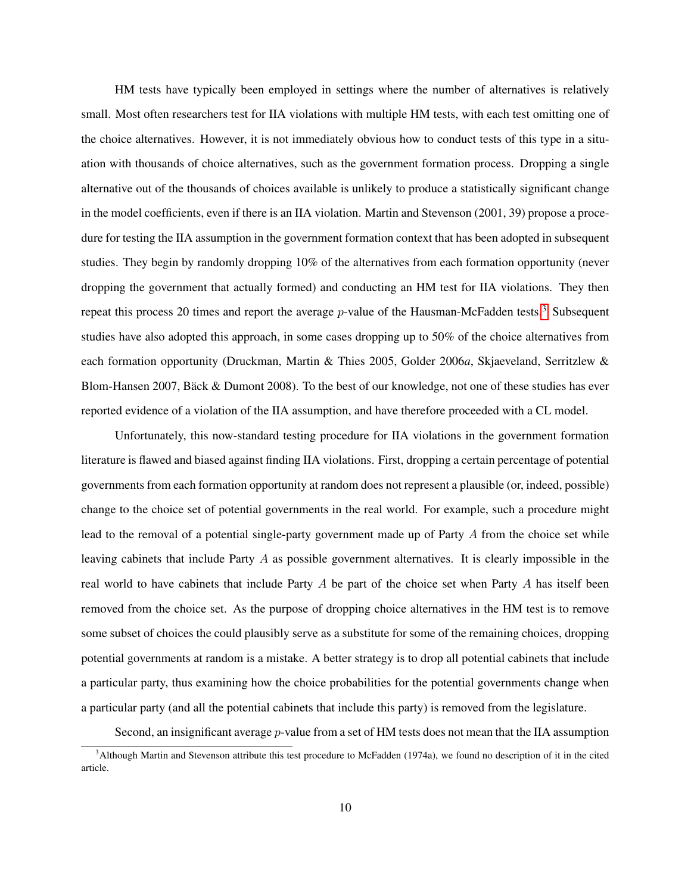HM tests have typically been employed in settings where the number of alternatives is relatively small. Most often researchers test for IIA violations with multiple HM tests, with each test omitting one of the choice alternatives. However, it is not immediately obvious how to conduct tests of this type in a situation with thousands of choice alternatives, such as the government formation process. Dropping a single alternative out of the thousands of choices available is unlikely to produce a statistically significant change in the model coefficients, even if there is an IIA violation. Martin and Stevenson (2001, 39) propose a procedure for testing the IIA assumption in the government formation context that has been adopted in subsequent studies. They begin by randomly dropping 10% of the alternatives from each formation opportunity (never dropping the government that actually formed) and conducting an HM test for IIA violations. They then repeat this process 20 times and report the average  $p$ -value of the Hausman-McFadden tests.<sup>[3](#page-10-0)</sup> Subsequent studies have also adopted this approach, in some cases dropping up to 50% of the choice alternatives from each formation opportunity (Druckman, Martin & Thies 2005, Golder 2006*a*, Skjaeveland, Serritzlew & Blom-Hansen 2007, Bäck & Dumont 2008). To the best of our knowledge, not one of these studies has ever reported evidence of a violation of the IIA assumption, and have therefore proceeded with a CL model.

Unfortunately, this now-standard testing procedure for IIA violations in the government formation literature is flawed and biased against finding IIA violations. First, dropping a certain percentage of potential governments from each formation opportunity at random does not represent a plausible (or, indeed, possible) change to the choice set of potential governments in the real world. For example, such a procedure might lead to the removal of a potential single-party government made up of Party A from the choice set while leaving cabinets that include Party  $A$  as possible government alternatives. It is clearly impossible in the real world to have cabinets that include Party  $A$  be part of the choice set when Party  $A$  has itself been removed from the choice set. As the purpose of dropping choice alternatives in the HM test is to remove some subset of choices the could plausibly serve as a substitute for some of the remaining choices, dropping potential governments at random is a mistake. A better strategy is to drop all potential cabinets that include a particular party, thus examining how the choice probabilities for the potential governments change when a particular party (and all the potential cabinets that include this party) is removed from the legislature.

Second, an insignificant average *p*-value from a set of HM tests does not mean that the IIA assumption

<span id="page-10-0"></span><sup>&</sup>lt;sup>3</sup>Although Martin and Stevenson attribute this test procedure to McFadden (1974a), we found no description of it in the cited article.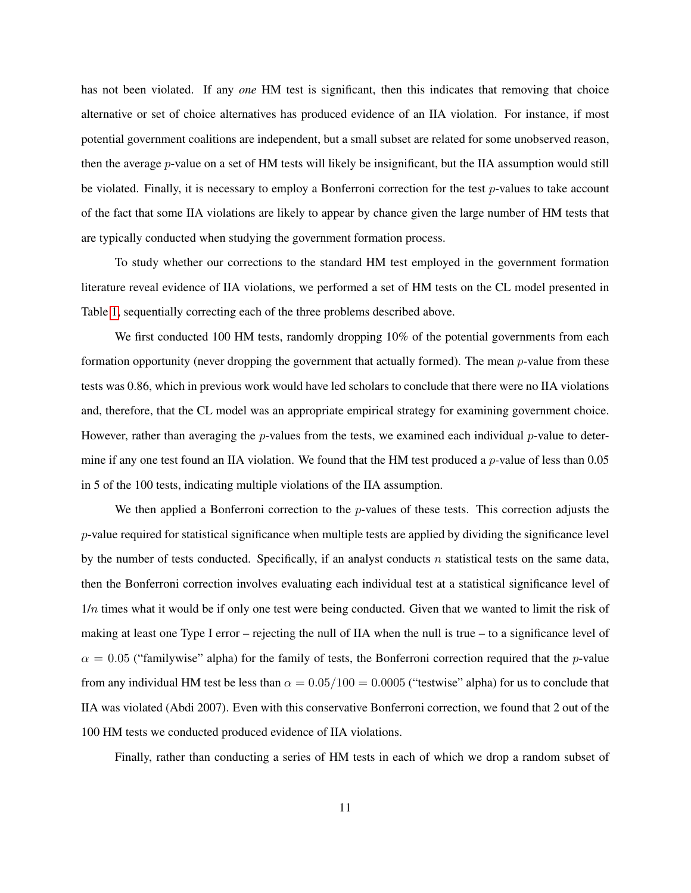has not been violated. If any *one* HM test is significant, then this indicates that removing that choice alternative or set of choice alternatives has produced evidence of an IIA violation. For instance, if most potential government coalitions are independent, but a small subset are related for some unobserved reason, then the average p-value on a set of HM tests will likely be insignificant, but the IIA assumption would still be violated. Finally, it is necessary to employ a Bonferroni correction for the test p-values to take account of the fact that some IIA violations are likely to appear by chance given the large number of HM tests that are typically conducted when studying the government formation process.

To study whether our corrections to the standard HM test employed in the government formation literature reveal evidence of IIA violations, we performed a set of HM tests on the CL model presented in Table [1,](#page-5-0) sequentially correcting each of the three problems described above.

We first conducted 100 HM tests, randomly dropping 10% of the potential governments from each formation opportunity (never dropping the government that actually formed). The mean  $p$ -value from these tests was 0.86, which in previous work would have led scholars to conclude that there were no IIA violations and, therefore, that the CL model was an appropriate empirical strategy for examining government choice. However, rather than averaging the p-values from the tests, we examined each individual p-value to determine if any one test found an IIA violation. We found that the HM test produced a *p*-value of less than 0.05 in 5 of the 100 tests, indicating multiple violations of the IIA assumption.

We then applied a Bonferroni correction to the  $p$ -values of these tests. This correction adjusts the p-value required for statistical significance when multiple tests are applied by dividing the significance level by the number of tests conducted. Specifically, if an analyst conducts n statistical tests on the same data, then the Bonferroni correction involves evaluating each individual test at a statistical significance level of  $1/n$  times what it would be if only one test were being conducted. Given that we wanted to limit the risk of making at least one Type I error – rejecting the null of IIA when the null is true – to a significance level of  $\alpha = 0.05$  ("familywise" alpha) for the family of tests, the Bonferroni correction required that the p-value from any individual HM test be less than  $\alpha = 0.05/100 = 0.0005$  ("testwise" alpha) for us to conclude that IIA was violated (Abdi 2007). Even with this conservative Bonferroni correction, we found that 2 out of the 100 HM tests we conducted produced evidence of IIA violations.

Finally, rather than conducting a series of HM tests in each of which we drop a random subset of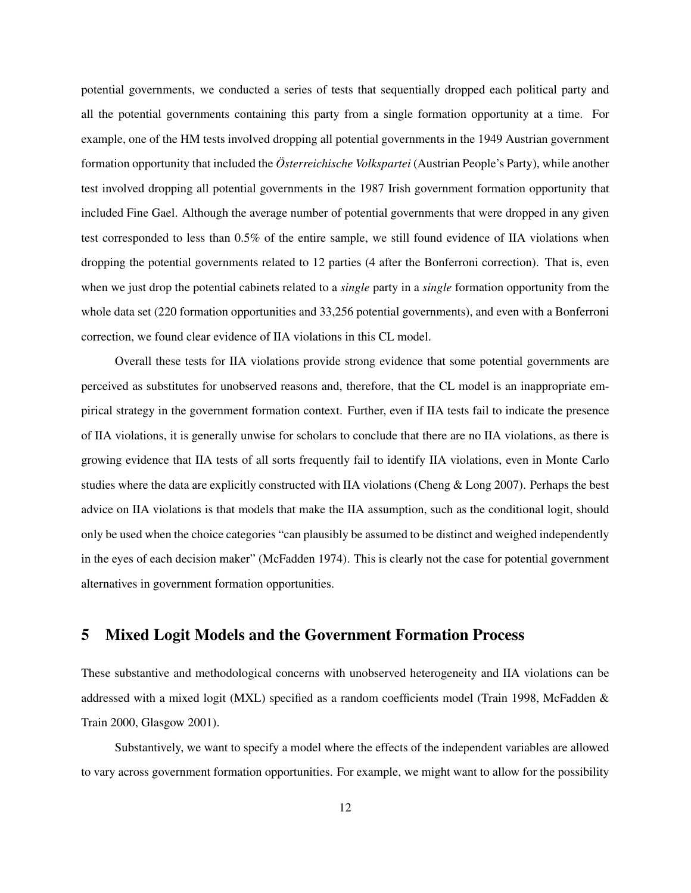potential governments, we conducted a series of tests that sequentially dropped each political party and all the potential governments containing this party from a single formation opportunity at a time. For example, one of the HM tests involved dropping all potential governments in the 1949 Austrian government formation opportunity that included the *Österreichische Volkspartei* (Austrian People's Party), while another test involved dropping all potential governments in the 1987 Irish government formation opportunity that included Fine Gael. Although the average number of potential governments that were dropped in any given test corresponded to less than 0.5% of the entire sample, we still found evidence of IIA violations when dropping the potential governments related to 12 parties (4 after the Bonferroni correction). That is, even when we just drop the potential cabinets related to a *single* party in a *single* formation opportunity from the whole data set (220 formation opportunities and 33,256 potential governments), and even with a Bonferroni correction, we found clear evidence of IIA violations in this CL model.

Overall these tests for IIA violations provide strong evidence that some potential governments are perceived as substitutes for unobserved reasons and, therefore, that the CL model is an inappropriate empirical strategy in the government formation context. Further, even if IIA tests fail to indicate the presence of IIA violations, it is generally unwise for scholars to conclude that there are no IIA violations, as there is growing evidence that IIA tests of all sorts frequently fail to identify IIA violations, even in Monte Carlo studies where the data are explicitly constructed with IIA violations (Cheng & Long 2007). Perhaps the best advice on IIA violations is that models that make the IIA assumption, such as the conditional logit, should only be used when the choice categories "can plausibly be assumed to be distinct and weighed independently in the eyes of each decision maker" (McFadden 1974). This is clearly not the case for potential government alternatives in government formation opportunities.

### 5 Mixed Logit Models and the Government Formation Process

These substantive and methodological concerns with unobserved heterogeneity and IIA violations can be addressed with a mixed logit (MXL) specified as a random coefficients model (Train 1998, McFadden & Train 2000, Glasgow 2001).

Substantively, we want to specify a model where the effects of the independent variables are allowed to vary across government formation opportunities. For example, we might want to allow for the possibility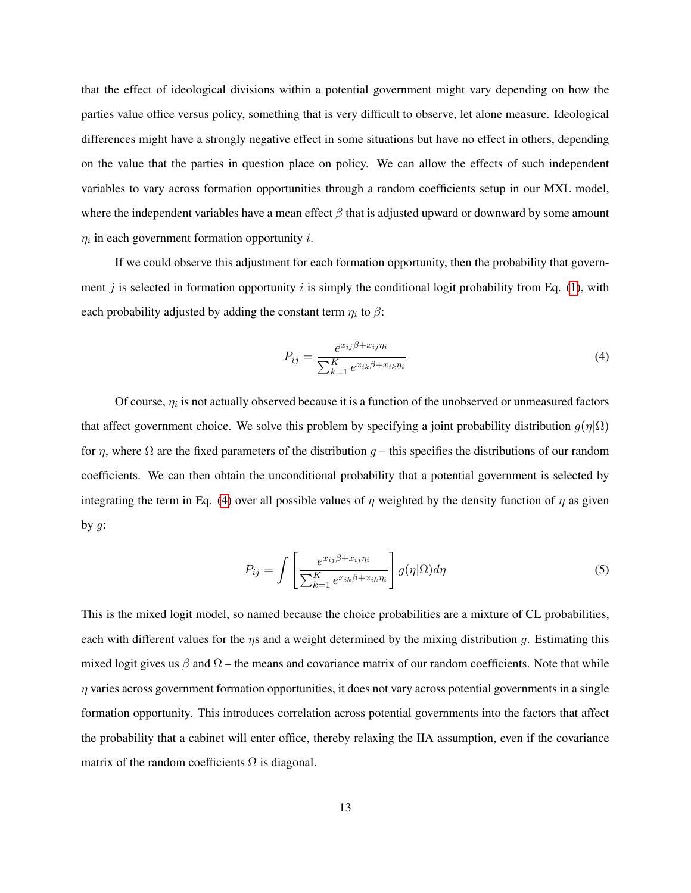that the effect of ideological divisions within a potential government might vary depending on how the parties value office versus policy, something that is very difficult to observe, let alone measure. Ideological differences might have a strongly negative effect in some situations but have no effect in others, depending on the value that the parties in question place on policy. We can allow the effects of such independent variables to vary across formation opportunities through a random coefficients setup in our MXL model, where the independent variables have a mean effect  $\beta$  that is adjusted upward or downward by some amount  $\eta_i$  in each government formation opportunity *i*.

If we could observe this adjustment for each formation opportunity, then the probability that govern-ment j is selected in formation opportunity i is simply the conditional logit probability from Eq. [\(1\)](#page-4-1), with each probability adjusted by adding the constant term  $\eta_i$  to  $\beta$ :

<span id="page-13-0"></span>
$$
P_{ij} = \frac{e^{x_{ij}\beta + x_{ij}\eta_i}}{\sum_{k=1}^{K} e^{x_{ik}\beta + x_{ik}\eta_i}}
$$
\n
$$
\tag{4}
$$

Of course,  $\eta_i$  is not actually observed because it is a function of the unobserved or unmeasured factors that affect government choice. We solve this problem by specifying a joint probability distribution  $g(\eta|\Omega)$ for  $\eta$ , where  $\Omega$  are the fixed parameters of the distribution  $g$  – this specifies the distributions of our random coefficients. We can then obtain the unconditional probability that a potential government is selected by integrating the term in Eq. [\(4\)](#page-13-0) over all possible values of  $\eta$  weighted by the density function of  $\eta$  as given by  $g$ :

<span id="page-13-1"></span>
$$
P_{ij} = \int \left[ \frac{e^{x_{ij}\beta + x_{ij}\eta_i}}{\sum_{k=1}^K e^{x_{ik}\beta + x_{ik}\eta_i}} \right] g(\eta|\Omega) d\eta \tag{5}
$$

This is the mixed logit model, so named because the choice probabilities are a mixture of CL probabilities, each with different values for the  $\eta s$  and a weight determined by the mixing distribution q. Estimating this mixed logit gives us  $\beta$  and  $\Omega$  – the means and covariance matrix of our random coefficients. Note that while  $\eta$  varies across government formation opportunities, it does not vary across potential governments in a single formation opportunity. This introduces correlation across potential governments into the factors that affect the probability that a cabinet will enter office, thereby relaxing the IIA assumption, even if the covariance matrix of the random coefficients  $\Omega$  is diagonal.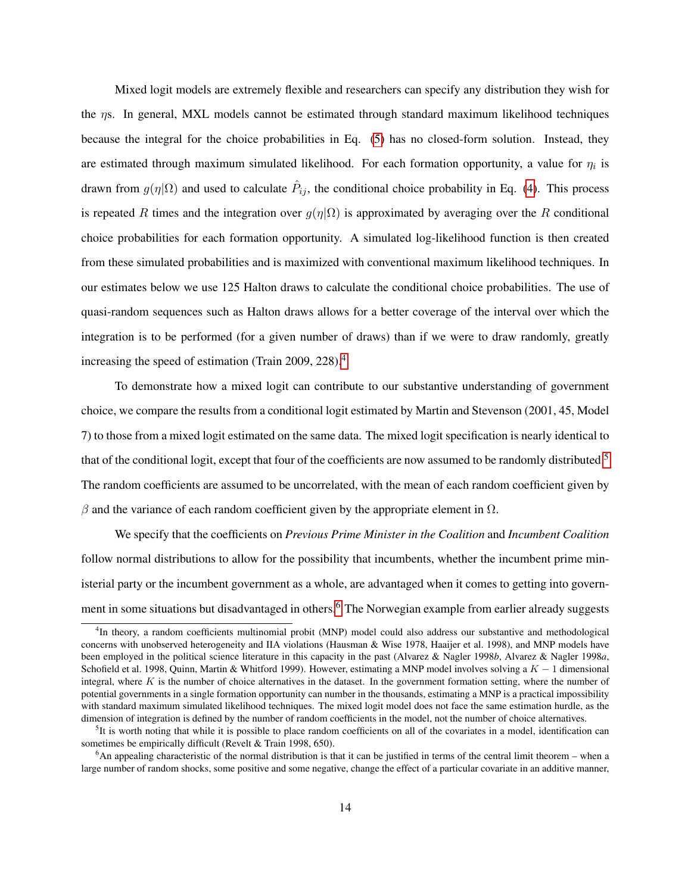Mixed logit models are extremely flexible and researchers can specify any distribution they wish for the ηs. In general, MXL models cannot be estimated through standard maximum likelihood techniques because the integral for the choice probabilities in Eq. [\(5\)](#page-13-1) has no closed-form solution. Instead, they are estimated through maximum simulated likelihood. For each formation opportunity, a value for  $\eta_i$  is drawn from  $g(\eta|\Omega)$  and used to calculate  $\hat{P}_{ij}$ , the conditional choice probability in Eq. [\(4\)](#page-13-0). This process is repeated R times and the integration over  $q(\eta|\Omega)$  is approximated by averaging over the R conditional choice probabilities for each formation opportunity. A simulated log-likelihood function is then created from these simulated probabilities and is maximized with conventional maximum likelihood techniques. In our estimates below we use 125 Halton draws to calculate the conditional choice probabilities. The use of quasi-random sequences such as Halton draws allows for a better coverage of the interval over which the integration is to be performed (for a given number of draws) than if we were to draw randomly, greatly increasing the speed of estimation (Train 2009, 228).[4](#page-14-0)

To demonstrate how a mixed logit can contribute to our substantive understanding of government choice, we compare the results from a conditional logit estimated by Martin and Stevenson (2001, 45, Model 7) to those from a mixed logit estimated on the same data. The mixed logit specification is nearly identical to that of the conditional logit, except that four of the coefficients are now assumed to be randomly distributed.<sup>[5](#page-14-1)</sup> The random coefficients are assumed to be uncorrelated, with the mean of each random coefficient given by  $β$  and the variance of each random coefficient given by the appropriate element in  $Ω$ .

We specify that the coefficients on *Previous Prime Minister in the Coalition* and *Incumbent Coalition* follow normal distributions to allow for the possibility that incumbents, whether the incumbent prime ministerial party or the incumbent government as a whole, are advantaged when it comes to getting into govern-ment in some situations but disadvantaged in others.<sup>[6](#page-14-2)</sup> The Norwegian example from earlier already suggests

<span id="page-14-0"></span><sup>&</sup>lt;sup>4</sup>In theory, a random coefficients multinomial probit (MNP) model could also address our substantive and methodological concerns with unobserved heterogeneity and IIA violations (Hausman & Wise 1978, Haaijer et al. 1998), and MNP models have been employed in the political science literature in this capacity in the past (Alvarez & Nagler 1998*b*, Alvarez & Nagler 1998*a*, Schofield et al. 1998, Quinn, Martin & Whitford 1999). However, estimating a MNP model involves solving a  $K - 1$  dimensional integral, where  $K$  is the number of choice alternatives in the dataset. In the government formation setting, where the number of potential governments in a single formation opportunity can number in the thousands, estimating a MNP is a practical impossibility with standard maximum simulated likelihood techniques. The mixed logit model does not face the same estimation hurdle, as the dimension of integration is defined by the number of random coefficients in the model, not the number of choice alternatives.

<span id="page-14-1"></span> ${}^{5}$ It is worth noting that while it is possible to place random coefficients on all of the covariates in a model, identification can sometimes be empirically difficult (Revelt & Train 1998, 650).

<span id="page-14-2"></span> $6$ An appealing characteristic of the normal distribution is that it can be justified in terms of the central limit theorem – when a large number of random shocks, some positive and some negative, change the effect of a particular covariate in an additive manner,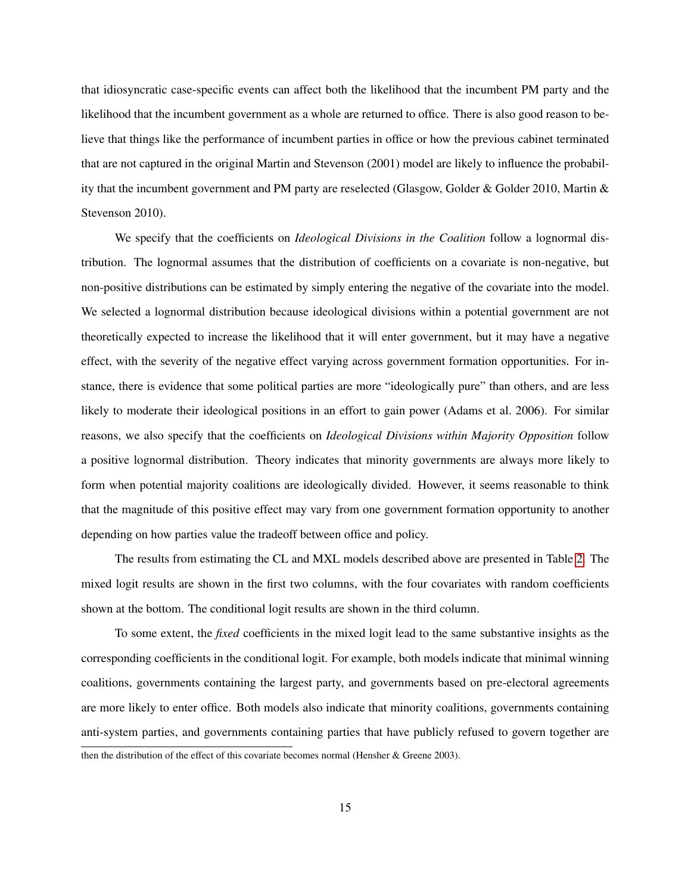that idiosyncratic case-specific events can affect both the likelihood that the incumbent PM party and the likelihood that the incumbent government as a whole are returned to office. There is also good reason to believe that things like the performance of incumbent parties in office or how the previous cabinet terminated that are not captured in the original Martin and Stevenson (2001) model are likely to influence the probability that the incumbent government and PM party are reselected (Glasgow, Golder & Golder 2010, Martin & Stevenson 2010).

We specify that the coefficients on *Ideological Divisions in the Coalition* follow a lognormal distribution. The lognormal assumes that the distribution of coefficients on a covariate is non-negative, but non-positive distributions can be estimated by simply entering the negative of the covariate into the model. We selected a lognormal distribution because ideological divisions within a potential government are not theoretically expected to increase the likelihood that it will enter government, but it may have a negative effect, with the severity of the negative effect varying across government formation opportunities. For instance, there is evidence that some political parties are more "ideologically pure" than others, and are less likely to moderate their ideological positions in an effort to gain power (Adams et al. 2006). For similar reasons, we also specify that the coefficients on *Ideological Divisions within Majority Opposition* follow a positive lognormal distribution. Theory indicates that minority governments are always more likely to form when potential majority coalitions are ideologically divided. However, it seems reasonable to think that the magnitude of this positive effect may vary from one government formation opportunity to another depending on how parties value the tradeoff between office and policy.

The results from estimating the CL and MXL models described above are presented in Table [2.](#page-16-0) The mixed logit results are shown in the first two columns, with the four covariates with random coefficients shown at the bottom. The conditional logit results are shown in the third column.

To some extent, the *fixed* coefficients in the mixed logit lead to the same substantive insights as the corresponding coefficients in the conditional logit. For example, both models indicate that minimal winning coalitions, governments containing the largest party, and governments based on pre-electoral agreements are more likely to enter office. Both models also indicate that minority coalitions, governments containing anti-system parties, and governments containing parties that have publicly refused to govern together are then the distribution of the effect of this covariate becomes normal (Hensher & Greene 2003).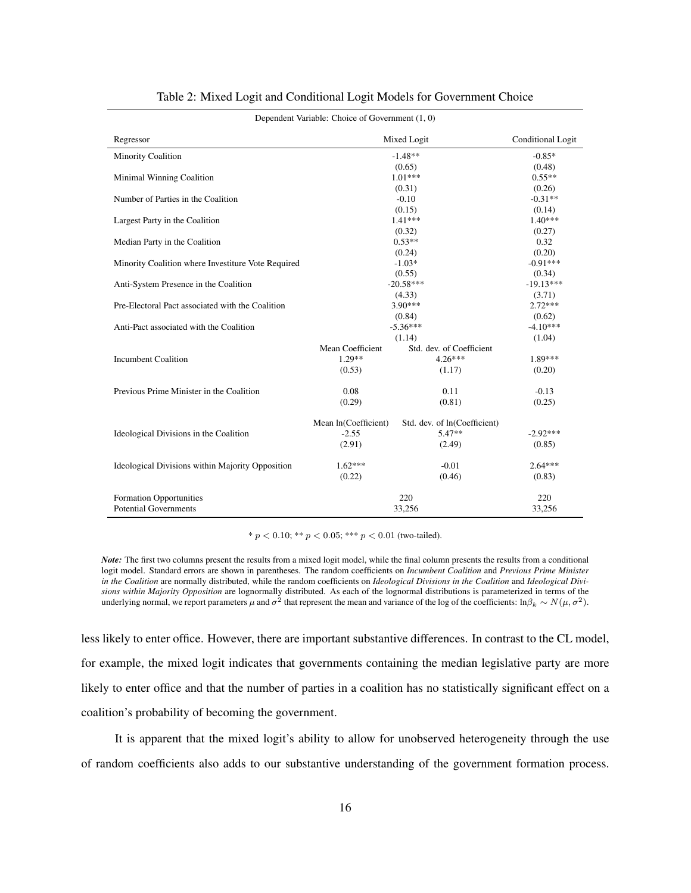|                                                    | Dependent Variable: Choice of Government (1, 0) |                              |                   |
|----------------------------------------------------|-------------------------------------------------|------------------------------|-------------------|
| Regressor                                          |                                                 | Mixed Logit                  | Conditional Logit |
| <b>Minority Coalition</b>                          |                                                 | $-1.48**$                    | $-0.85*$          |
|                                                    |                                                 | (0.65)                       | (0.48)            |
| Minimal Winning Coalition                          |                                                 | $1.01***$                    | $0.55**$          |
|                                                    |                                                 | (0.31)                       | (0.26)            |
| Number of Parties in the Coalition                 |                                                 | $-0.10$                      | $-0.31**$         |
|                                                    |                                                 | (0.15)                       | (0.14)            |
| Largest Party in the Coalition                     |                                                 | $1.41***$                    | $1.40***$         |
|                                                    |                                                 | (0.32)                       | (0.27)            |
| Median Party in the Coalition                      |                                                 | $0.53**$                     | 0.32              |
|                                                    |                                                 | (0.24)                       | (0.20)            |
| Minority Coalition where Investiture Vote Required |                                                 | $-1.03*$                     | $-0.91***$        |
|                                                    |                                                 | (0.55)                       | (0.34)            |
| Anti-System Presence in the Coalition              |                                                 | $-20.58***$                  | $-19.13***$       |
|                                                    |                                                 | (4.33)                       | (3.71)            |
| Pre-Electoral Pact associated with the Coalition   |                                                 | $3.90***$                    | $2.72***$         |
|                                                    |                                                 | (0.84)                       | (0.62)            |
| Anti-Pact associated with the Coalition            |                                                 | $-5.36***$                   | $-4.10***$        |
|                                                    |                                                 | (1.14)                       | (1.04)            |
|                                                    | Mean Coefficient                                | Std. dev. of Coefficient     |                   |
| <b>Incumbent Coalition</b>                         | $1.29**$                                        | $4.26***$                    | 1.89***           |
|                                                    | (0.53)                                          | (1.17)                       | (0.20)            |
| Previous Prime Minister in the Coalition           | 0.08                                            | 0.11                         | $-0.13$           |
|                                                    | (0.29)                                          | (0.81)                       | (0.25)            |
|                                                    | Mean In(Coefficient)                            | Std. dev. of ln(Coefficient) |                   |
| Ideological Divisions in the Coalition             | $-2.55$                                         | $5.47**$                     | $-2.92***$        |
|                                                    | (2.91)                                          | (2.49)                       | (0.85)            |
| Ideological Divisions within Majority Opposition   | $1.62***$                                       | $-0.01$                      | $2.64***$         |
|                                                    | (0.22)                                          | (0.46)                       | (0.83)            |
|                                                    |                                                 |                              |                   |
| <b>Formation Opportunities</b>                     |                                                 | 220                          | 220               |
| <b>Potential Governments</b>                       |                                                 | 33,256                       | 33,256            |

#### <span id="page-16-0"></span>Table 2: Mixed Logit and Conditional Logit Models for Government Choice

\*  $p < 0.10$ ; \*\*  $p < 0.05$ ; \*\*\*  $p < 0.01$  (two-tailed).

less likely to enter office. However, there are important substantive differences. In contrast to the CL model, for example, the mixed logit indicates that governments containing the median legislative party are more likely to enter office and that the number of parties in a coalition has no statistically significant effect on a coalition's probability of becoming the government.

It is apparent that the mixed logit's ability to allow for unobserved heterogeneity through the use of random coefficients also adds to our substantive understanding of the government formation process.

*Note:* The first two columns present the results from a mixed logit model, while the final column presents the results from a conditional logit model. Standard errors are shown in parentheses. The random coefficients on *Incumbent Coalition* and *Previous Prime Minister in the Coalition* are normally distributed, while the random coefficients on *Ideological Divisions in the Coalition* and *Ideological Divisions within Majority Opposition* are lognormally distributed. As each of the lognormal distributions is parameterized in terms of the underlying normal, we report parameters  $\mu$  and  $\sigma^2$  that represent the mean and variance of the log of the coefficients:  $\ln \beta_k \sim N(\mu, \sigma^2)$ .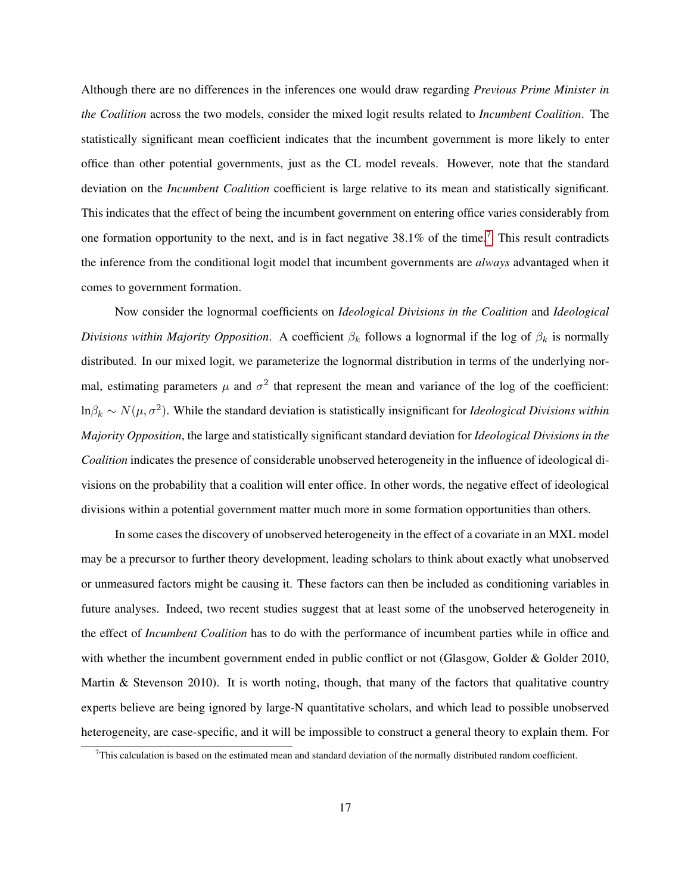Although there are no differences in the inferences one would draw regarding *Previous Prime Minister in the Coalition* across the two models, consider the mixed logit results related to *Incumbent Coalition*. The statistically significant mean coefficient indicates that the incumbent government is more likely to enter office than other potential governments, just as the CL model reveals. However, note that the standard deviation on the *Incumbent Coalition* coefficient is large relative to its mean and statistically significant. This indicates that the effect of being the incumbent government on entering office varies considerably from one formation opportunity to the next, and is in fact negative  $38.1\%$  of the time.<sup>[7](#page-17-0)</sup> This result contradicts the inference from the conditional logit model that incumbent governments are *always* advantaged when it comes to government formation.

Now consider the lognormal coefficients on *Ideological Divisions in the Coalition* and *Ideological Divisions within Majority Opposition.* A coefficient  $\beta_k$  follows a lognormal if the log of  $\beta_k$  is normally distributed. In our mixed logit, we parameterize the lognormal distribution in terms of the underlying normal, estimating parameters  $\mu$  and  $\sigma^2$  that represent the mean and variance of the log of the coefficient:  $\ln \beta_k \sim N(\mu, \sigma^2)$ . While the standard deviation is statistically insignificant for *Ideological Divisions within Majority Opposition*, the large and statistically significant standard deviation for *Ideological Divisions in the Coalition* indicates the presence of considerable unobserved heterogeneity in the influence of ideological divisions on the probability that a coalition will enter office. In other words, the negative effect of ideological divisions within a potential government matter much more in some formation opportunities than others.

In some cases the discovery of unobserved heterogeneity in the effect of a covariate in an MXL model may be a precursor to further theory development, leading scholars to think about exactly what unobserved or unmeasured factors might be causing it. These factors can then be included as conditioning variables in future analyses. Indeed, two recent studies suggest that at least some of the unobserved heterogeneity in the effect of *Incumbent Coalition* has to do with the performance of incumbent parties while in office and with whether the incumbent government ended in public conflict or not (Glasgow, Golder & Golder 2010, Martin  $\&$  Stevenson 2010). It is worth noting, though, that many of the factors that qualitative country experts believe are being ignored by large-N quantitative scholars, and which lead to possible unobserved heterogeneity, are case-specific, and it will be impossible to construct a general theory to explain them. For

<span id="page-17-0"></span> $^{7}$ This calculation is based on the estimated mean and standard deviation of the normally distributed random coefficient.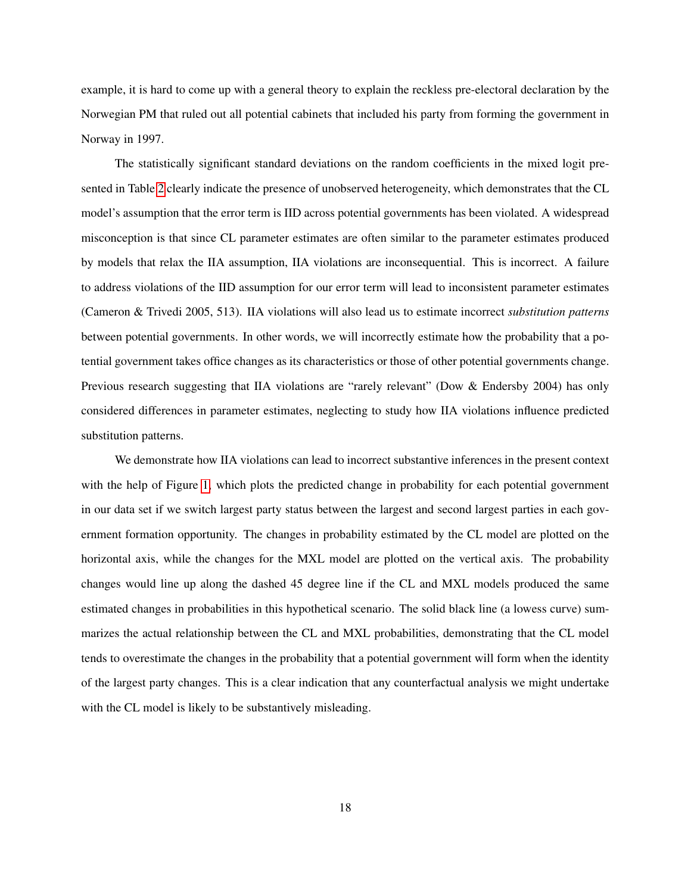example, it is hard to come up with a general theory to explain the reckless pre-electoral declaration by the Norwegian PM that ruled out all potential cabinets that included his party from forming the government in Norway in 1997.

The statistically significant standard deviations on the random coefficients in the mixed logit presented in Table [2](#page-16-0) clearly indicate the presence of unobserved heterogeneity, which demonstrates that the CL model's assumption that the error term is IID across potential governments has been violated. A widespread misconception is that since CL parameter estimates are often similar to the parameter estimates produced by models that relax the IIA assumption, IIA violations are inconsequential. This is incorrect. A failure to address violations of the IID assumption for our error term will lead to inconsistent parameter estimates (Cameron & Trivedi 2005, 513). IIA violations will also lead us to estimate incorrect *substitution patterns* between potential governments. In other words, we will incorrectly estimate how the probability that a potential government takes office changes as its characteristics or those of other potential governments change. Previous research suggesting that IIA violations are "rarely relevant" (Dow & Endersby 2004) has only considered differences in parameter estimates, neglecting to study how IIA violations influence predicted substitution patterns.

We demonstrate how IIA violations can lead to incorrect substantive inferences in the present context with the help of Figure [1,](#page-19-0) which plots the predicted change in probability for each potential government in our data set if we switch largest party status between the largest and second largest parties in each government formation opportunity. The changes in probability estimated by the CL model are plotted on the horizontal axis, while the changes for the MXL model are plotted on the vertical axis. The probability changes would line up along the dashed 45 degree line if the CL and MXL models produced the same estimated changes in probabilities in this hypothetical scenario. The solid black line (a lowess curve) summarizes the actual relationship between the CL and MXL probabilities, demonstrating that the CL model tends to overestimate the changes in the probability that a potential government will form when the identity of the largest party changes. This is a clear indication that any counterfactual analysis we might undertake with the CL model is likely to be substantively misleading.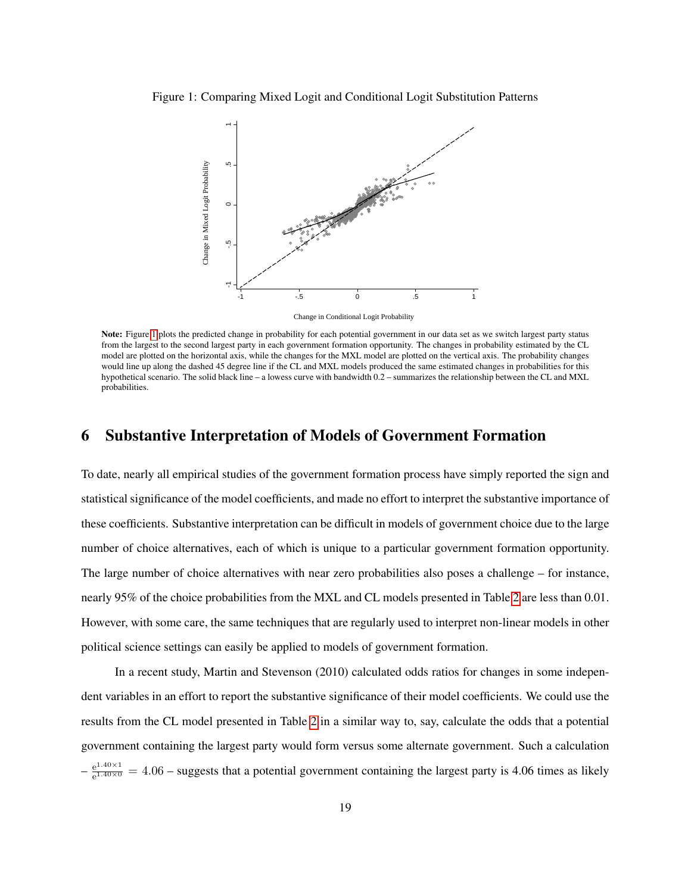Figure 1: Comparing Mixed Logit and Conditional Logit Substitution Patterns

<span id="page-19-0"></span>

Change in Conditional Logit Probability

Note: Figure [1](#page-19-0) plots the predicted change in probability for each potential government in our data set as we switch largest party status from the largest to the second largest party in each government formation opportunity. The changes in probability estimated by the CL model are plotted on the horizontal axis, while the changes for the MXL model are plotted on the vertical axis. The probability changes would line up along the dashed 45 degree line if the CL and MXL models produced the same estimated changes in probabilities for this hypothetical scenario. The solid black line – a lowess curve with bandwidth 0.2 – summarizes the relationship between the CL and MXL probabilities.

# 6 Substantive Interpretation of Models of Government Formation

To date, nearly all empirical studies of the government formation process have simply reported the sign and statistical significance of the model coefficients, and made no effort to interpret the substantive importance of these coefficients. Substantive interpretation can be difficult in models of government choice due to the large number of choice alternatives, each of which is unique to a particular government formation opportunity. The large number of choice alternatives with near zero probabilities also poses a challenge – for instance, nearly 95% of the choice probabilities from the MXL and CL models presented in Table [2](#page-16-0) are less than 0.01. However, with some care, the same techniques that are regularly used to interpret non-linear models in other political science settings can easily be applied to models of government formation.

In a recent study, Martin and Stevenson (2010) calculated odds ratios for changes in some independent variables in an effort to report the substantive significance of their model coefficients. We could use the results from the CL model presented in Table [2](#page-16-0) in a similar way to, say, calculate the odds that a potential government containing the largest party would form versus some alternate government. Such a calculation  $-\frac{e^{1.40\times1}}{e^{1.40\times0}}$  $e^{2.40\times1/2}$  = 4.06 – suggests that a potential government containing the largest party is 4.06 times as likely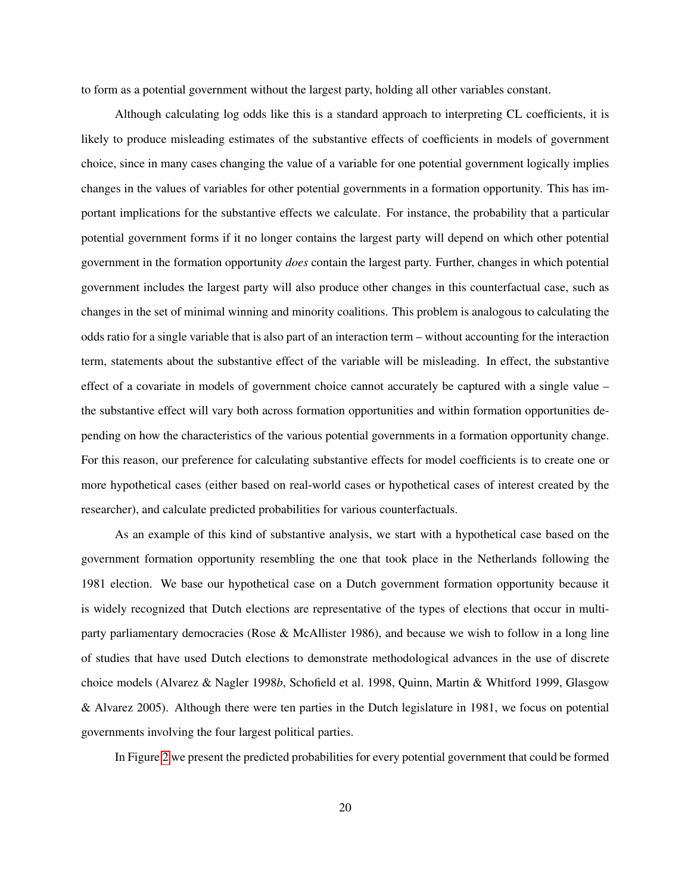to form as a potential government without the largest party, holding all other variables constant.

Although calculating log odds like this is a standard approach to interpreting CL coefficients, it is likely to produce misleading estimates of the substantive effects of coefficients in models of government choice, since in many cases changing the value of a variable for one potential government logically implies changes in the values of variables for other potential governments in a formation opportunity. This has important implications for the substantive effects we calculate. For instance, the probability that a particular potential government forms if it no longer contains the largest party will depend on which other potential government in the formation opportunity *does* contain the largest party. Further, changes in which potential government includes the largest party will also produce other changes in this counterfactual case, such as changes in the set of minimal winning and minority coalitions. This problem is analogous to calculating the odds ratio for a single variable that is also part of an interaction term – without accounting for the interaction term, statements about the substantive effect of the variable will be misleading. In effect, the substantive effect of a covariate in models of government choice cannot accurately be captured with a single value – the substantive effect will vary both across formation opportunities and within formation opportunities depending on how the characteristics of the various potential governments in a formation opportunity change. For this reason, our preference for calculating substantive effects for model coefficients is to create one or more hypothetical cases (either based on real-world cases or hypothetical cases of interest created by the researcher), and calculate predicted probabilities for various counterfactuals.

As an example of this kind of substantive analysis, we start with a hypothetical case based on the government formation opportunity resembling the one that took place in the Netherlands following the 1981 election. We base our hypothetical case on a Dutch government formation opportunity because it is widely recognized that Dutch elections are representative of the types of elections that occur in multiparty parliamentary democracies (Rose & McAllister 1986), and because we wish to follow in a long line of studies that have used Dutch elections to demonstrate methodological advances in the use of discrete choice models (Alvarez & Nagler 1998*b*, Schofield et al. 1998, Quinn, Martin & Whitford 1999, Glasgow & Alvarez 2005). Although there were ten parties in the Dutch legislature in 1981, we focus on potential governments involving the four largest political parties.

In Figure [2](#page-21-0) we present the predicted probabilities for every potential government that could be formed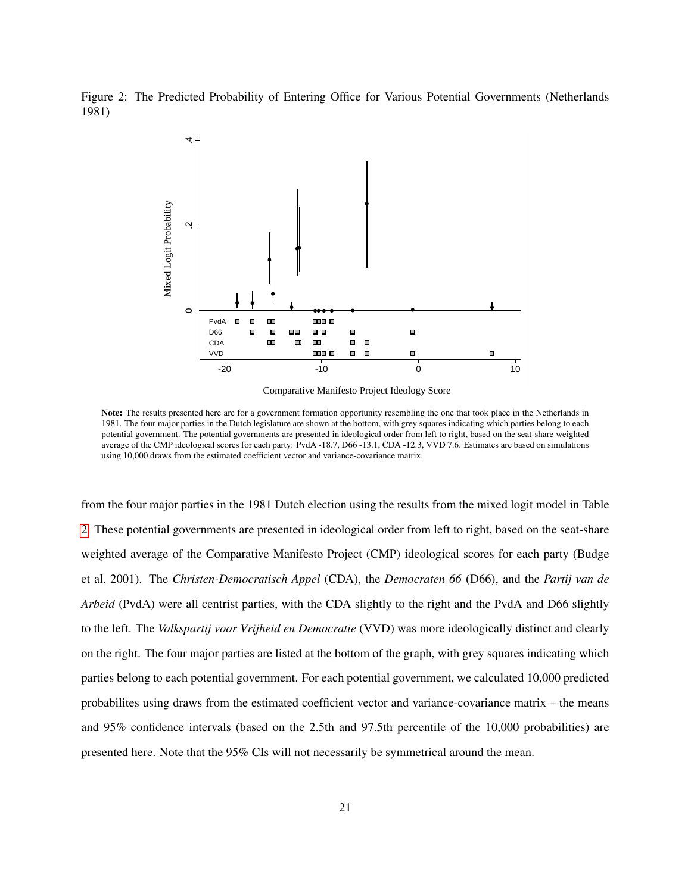Figure 2: The Predicted Probability of Entering Office for Various Potential Governments (Netherlands 1981)

<span id="page-21-0"></span>

Comparative Manifesto Project Ideology Score

Note: The results presented here are for a government formation opportunity resembling the one that took place in the Netherlands in 1981. The four major parties in the Dutch legislature are shown at the bottom, with grey squares indicating which parties belong to each potential government. The potential governments are presented in ideological order from left to right, based on the seat-share weighted average of the CMP ideological scores for each party: PvdA -18.7, D66 -13.1, CDA -12.3, VVD 7.6. Estimates are based on simulations using 10,000 draws from the estimated coefficient vector and variance-covariance matrix.

from the four major parties in the 1981 Dutch election using the results from the mixed logit model in Table [2.](#page-16-0) These potential governments are presented in ideological order from left to right, based on the seat-share weighted average of the Comparative Manifesto Project (CMP) ideological scores for each party (Budge et al. 2001). The *Christen-Democratisch Appel* (CDA), the *Democraten 66* (D66), and the *Partij van de Arbeid* (PvdA) were all centrist parties, with the CDA slightly to the right and the PvdA and D66 slightly to the left. The *Volkspartij voor Vrijheid en Democratie* (VVD) was more ideologically distinct and clearly on the right. The four major parties are listed at the bottom of the graph, with grey squares indicating which parties belong to each potential government. For each potential government, we calculated 10,000 predicted probabilites using draws from the estimated coefficient vector and variance-covariance matrix – the means and 95% confidence intervals (based on the 2.5th and 97.5th percentile of the 10,000 probabilities) are presented here. Note that the 95% CIs will not necessarily be symmetrical around the mean.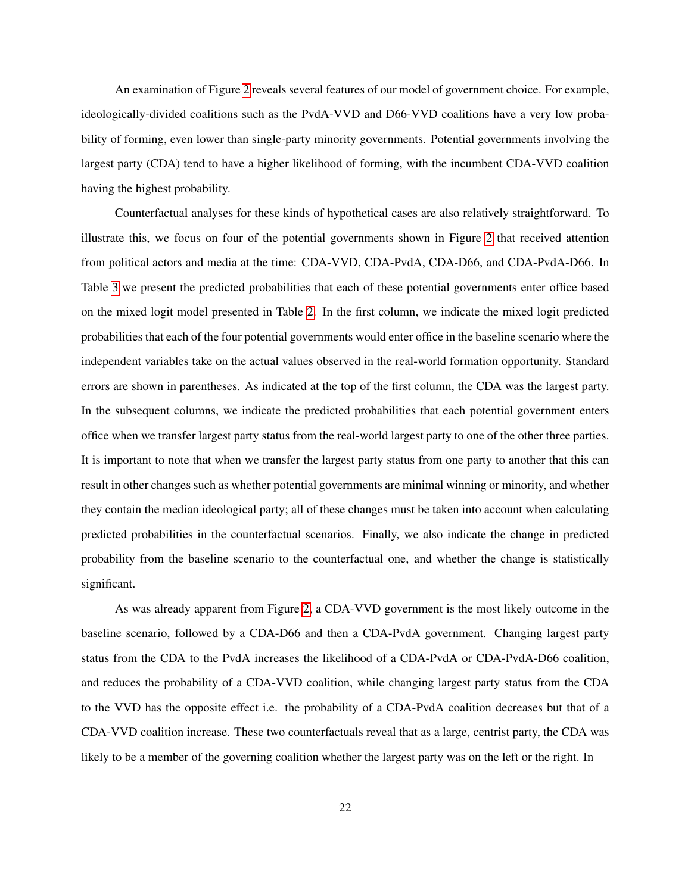An examination of Figure [2](#page-21-0) reveals several features of our model of government choice. For example, ideologically-divided coalitions such as the PvdA-VVD and D66-VVD coalitions have a very low probability of forming, even lower than single-party minority governments. Potential governments involving the largest party (CDA) tend to have a higher likelihood of forming, with the incumbent CDA-VVD coalition having the highest probability.

Counterfactual analyses for these kinds of hypothetical cases are also relatively straightforward. To illustrate this, we focus on four of the potential governments shown in Figure [2](#page-21-0) that received attention from political actors and media at the time: CDA-VVD, CDA-PvdA, CDA-D66, and CDA-PvdA-D66. In Table [3](#page-23-0) we present the predicted probabilities that each of these potential governments enter office based on the mixed logit model presented in Table [2.](#page-16-0) In the first column, we indicate the mixed logit predicted probabilities that each of the four potential governments would enter office in the baseline scenario where the independent variables take on the actual values observed in the real-world formation opportunity. Standard errors are shown in parentheses. As indicated at the top of the first column, the CDA was the largest party. In the subsequent columns, we indicate the predicted probabilities that each potential government enters office when we transfer largest party status from the real-world largest party to one of the other three parties. It is important to note that when we transfer the largest party status from one party to another that this can result in other changes such as whether potential governments are minimal winning or minority, and whether they contain the median ideological party; all of these changes must be taken into account when calculating predicted probabilities in the counterfactual scenarios. Finally, we also indicate the change in predicted probability from the baseline scenario to the counterfactual one, and whether the change is statistically significant.

As was already apparent from Figure [2,](#page-21-0) a CDA-VVD government is the most likely outcome in the baseline scenario, followed by a CDA-D66 and then a CDA-PvdA government. Changing largest party status from the CDA to the PvdA increases the likelihood of a CDA-PvdA or CDA-PvdA-D66 coalition, and reduces the probability of a CDA-VVD coalition, while changing largest party status from the CDA to the VVD has the opposite effect i.e. the probability of a CDA-PvdA coalition decreases but that of a CDA-VVD coalition increase. These two counterfactuals reveal that as a large, centrist party, the CDA was likely to be a member of the governing coalition whether the largest party was on the left or the right. In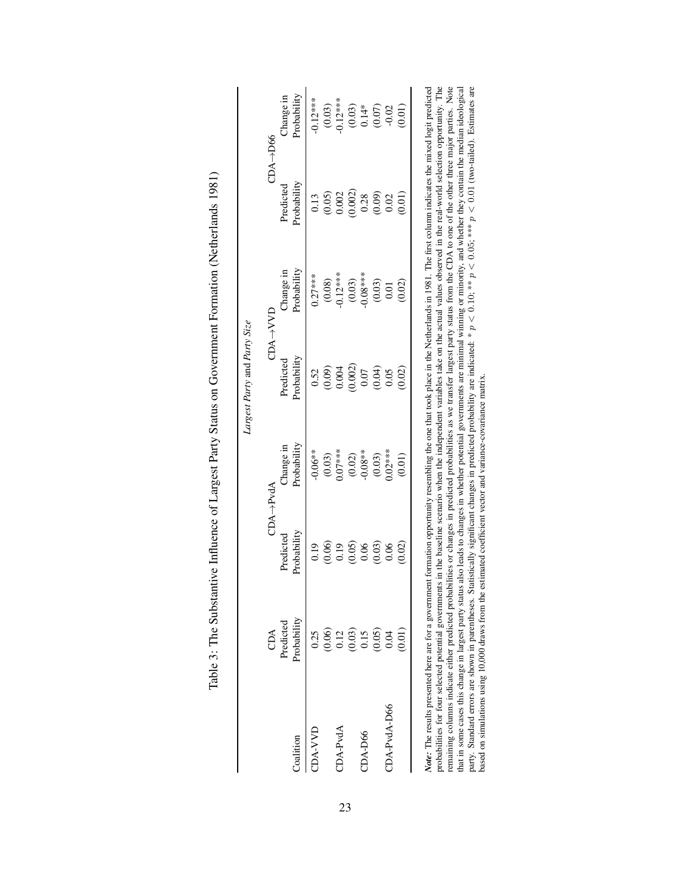<span id="page-23-0"></span>

|               | CDA                                                      | <b>CDA</b> ->PvdA                                        |                                           |                                        | $CDA \rightarrow VVD$                            | $CDA \rightarrow D66$              |                                                                    |
|---------------|----------------------------------------------------------|----------------------------------------------------------|-------------------------------------------|----------------------------------------|--------------------------------------------------|------------------------------------|--------------------------------------------------------------------|
| Coalition     | Probability<br>Predicted                                 | Probability<br>Predicted                                 | Probability<br>Change in                  | Probability<br>Predicted               | Probability<br>hange in                          | Probability<br>Predicted           | Probability<br>Change in                                           |
| <b>CIVY-D</b> | 0.25                                                     | 0.19                                                     | $-0.06**$                                 | 0.52                                   | $0.27***$                                        | 0.13                               | $-0.12***$                                                         |
|               |                                                          |                                                          |                                           |                                        |                                                  |                                    |                                                                    |
| CDA-PvdA      |                                                          |                                                          |                                           |                                        |                                                  |                                    |                                                                    |
|               | $(0.06)$<br>$(0.03)$<br>$(0.05)$<br>$(0.05)$<br>$(0.04)$ | $0.99$<br>$0.99$<br>$0.05$<br>$0.03$<br>$0.06$<br>$0.06$ | $(0.03)$<br>0.07***<br>$(0.02)$<br>0.08** | $0.09$<br>$0.002$<br>$0.007$<br>$0.07$ | $(0.08)$<br>$-0.12***$<br>$(0.03)$<br>$-0.08***$ | (0.05)<br>0.002)<br>0.002)<br>0.28 | $(0.03)$<br>$0.12***$<br>$(0.03)$<br>$0.14*$<br>$0.07$<br>$(0.07)$ |
| CDA-D66       |                                                          |                                                          |                                           |                                        |                                                  |                                    |                                                                    |
|               |                                                          |                                                          | $(0.03)$<br>$0.02***$                     | (0.04)                                 | $(0.03)$                                         | (0.09)                             |                                                                    |
| CDA-PvdA-D66  |                                                          |                                                          |                                           | 0.05                                   | 0.01                                             | 0.02                               |                                                                    |
|               | (0.01)                                                   | (0.02)                                                   | (0.01)                                    | (0.02)                                 | (0.02)                                           | (10.01)                            | (0.01)                                                             |

| 5                        |  |
|--------------------------|--|
|                          |  |
|                          |  |
|                          |  |
|                          |  |
|                          |  |
|                          |  |
|                          |  |
|                          |  |
|                          |  |
|                          |  |
|                          |  |
|                          |  |
|                          |  |
|                          |  |
|                          |  |
|                          |  |
|                          |  |
|                          |  |
|                          |  |
|                          |  |
|                          |  |
|                          |  |
|                          |  |
|                          |  |
|                          |  |
|                          |  |
|                          |  |
|                          |  |
| $\overline{\phantom{a}}$ |  |
|                          |  |
|                          |  |
|                          |  |
|                          |  |
|                          |  |
|                          |  |
|                          |  |
|                          |  |
|                          |  |
|                          |  |
|                          |  |
|                          |  |
|                          |  |
|                          |  |
| l                        |  |
|                          |  |
|                          |  |
|                          |  |
|                          |  |
|                          |  |
|                          |  |
|                          |  |
|                          |  |
|                          |  |
|                          |  |
|                          |  |
|                          |  |
|                          |  |
|                          |  |
|                          |  |
|                          |  |
|                          |  |
|                          |  |
|                          |  |
|                          |  |
|                          |  |
|                          |  |
|                          |  |
|                          |  |
|                          |  |
|                          |  |
|                          |  |
| I                        |  |
|                          |  |
|                          |  |
|                          |  |
|                          |  |
|                          |  |
|                          |  |
|                          |  |
|                          |  |
|                          |  |
|                          |  |
|                          |  |
|                          |  |
|                          |  |
|                          |  |
|                          |  |
|                          |  |
|                          |  |
|                          |  |
|                          |  |
|                          |  |
|                          |  |
|                          |  |
|                          |  |
|                          |  |
|                          |  |
|                          |  |
|                          |  |
| l                        |  |
|                          |  |
|                          |  |
|                          |  |
|                          |  |
| ׇ֚֘                      |  |
|                          |  |
|                          |  |
|                          |  |
| j<br>Ö                   |  |
| I                        |  |
|                          |  |
|                          |  |
|                          |  |
| ţ<br>E<br>Í              |  |

*AOne*: The results presented mete are to a government formation opportunity resentionity and to the number of the two place in the reductional values observed in the real-world selection opportunity. The probabilities for remaining columns indicate either predicted probabilities or changes in predicted probabilities as we transfer largest party status from the CDA to one of the other three major parties. Note that in some cases this change *Note:* The results presented here are for a government formation opportunity resembling the one that took place in the Netherlands in 1981. The first column indicates the mixed logit predicted probabilities for four selected potential governments in the baseline scenario when the independent variables take on the actual values observed in the real-world selection opportunity. The remaining columns indicate either predicted probabilities or changes in predicted probabilities as we transfer largest party status from the CDA to one of the other three major parties. Note that in some cases this change in largest party status also leads to changes in whether potential governments are minimal winning or minority, and whether they contain the median ideological party. Standard errors are shown in parentheses. Statistically significant changes in predicted probability are indicated: \*  $p < 0.10$ ; \*\*  $p < 0.05$ ; \*\*\*  $p < 0.01$  (two-tailed). Estimates are example and construction of t  $\frac{1}{2}$  based on simulations using 10,000 draws from the estimated coefficient vector and variance-covariance matrix. based on simulations using 10,000 draws from the estimated coefficient vector and variance-covariance matrix.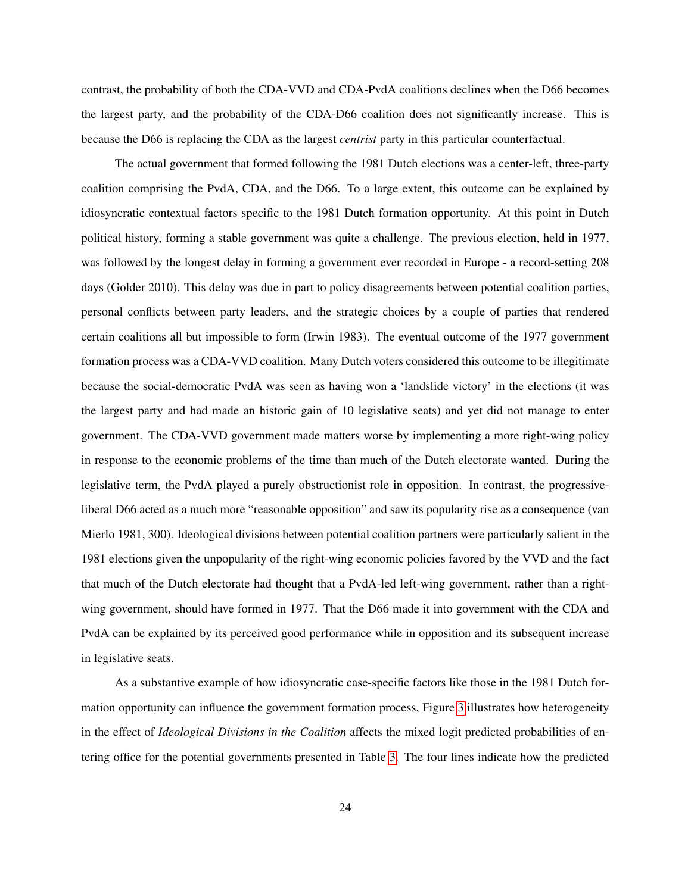contrast, the probability of both the CDA-VVD and CDA-PvdA coalitions declines when the D66 becomes the largest party, and the probability of the CDA-D66 coalition does not significantly increase. This is because the D66 is replacing the CDA as the largest *centrist* party in this particular counterfactual.

The actual government that formed following the 1981 Dutch elections was a center-left, three-party coalition comprising the PvdA, CDA, and the D66. To a large extent, this outcome can be explained by idiosyncratic contextual factors specific to the 1981 Dutch formation opportunity. At this point in Dutch political history, forming a stable government was quite a challenge. The previous election, held in 1977, was followed by the longest delay in forming a government ever recorded in Europe - a record-setting 208 days (Golder 2010). This delay was due in part to policy disagreements between potential coalition parties, personal conflicts between party leaders, and the strategic choices by a couple of parties that rendered certain coalitions all but impossible to form (Irwin 1983). The eventual outcome of the 1977 government formation process was a CDA-VVD coalition. Many Dutch voters considered this outcome to be illegitimate because the social-democratic PvdA was seen as having won a 'landslide victory' in the elections (it was the largest party and had made an historic gain of 10 legislative seats) and yet did not manage to enter government. The CDA-VVD government made matters worse by implementing a more right-wing policy in response to the economic problems of the time than much of the Dutch electorate wanted. During the legislative term, the PvdA played a purely obstructionist role in opposition. In contrast, the progressiveliberal D66 acted as a much more "reasonable opposition" and saw its popularity rise as a consequence (van Mierlo 1981, 300). Ideological divisions between potential coalition partners were particularly salient in the 1981 elections given the unpopularity of the right-wing economic policies favored by the VVD and the fact that much of the Dutch electorate had thought that a PvdA-led left-wing government, rather than a rightwing government, should have formed in 1977. That the D66 made it into government with the CDA and PvdA can be explained by its perceived good performance while in opposition and its subsequent increase in legislative seats.

As a substantive example of how idiosyncratic case-specific factors like those in the 1981 Dutch formation opportunity can influence the government formation process, Figure [3](#page-25-0) illustrates how heterogeneity in the effect of *Ideological Divisions in the Coalition* affects the mixed logit predicted probabilities of entering office for the potential governments presented in Table [3.](#page-23-0) The four lines indicate how the predicted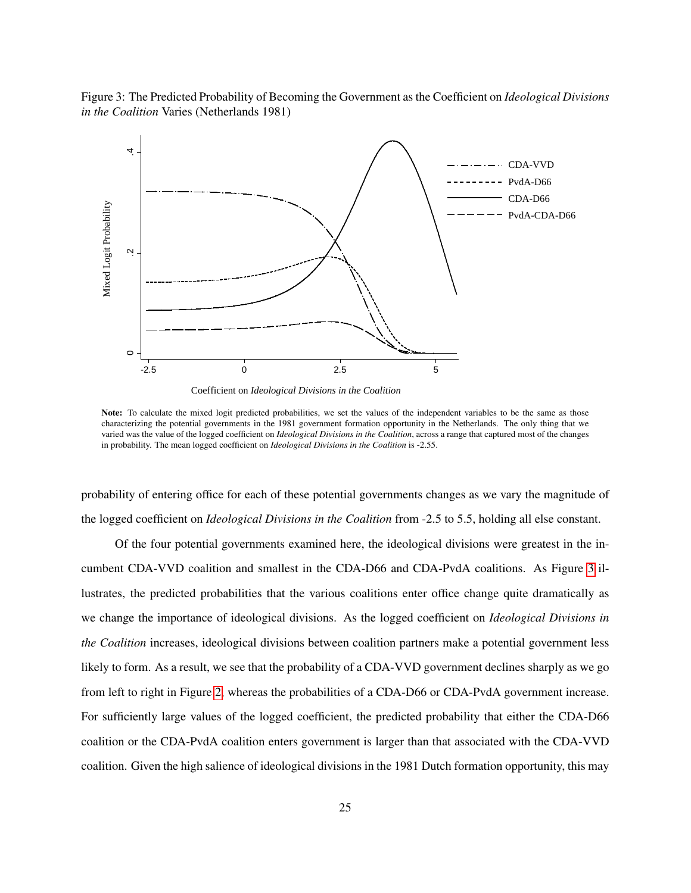<span id="page-25-0"></span>Figure 3: The Predicted Probability of Becoming the Government as the Coefficient on *Ideological Divisions in the Coalition* Varies (Netherlands 1981)



Coefficient on *Ideological Divisions in the Coalition*

probability of entering office for each of these potential governments changes as we vary the magnitude of the logged coefficient on *Ideological Divisions in the Coalition* from -2.5 to 5.5, holding all else constant.

Of the four potential governments examined here, the ideological divisions were greatest in the incumbent CDA-VVD coalition and smallest in the CDA-D66 and CDA-PvdA coalitions. As Figure [3](#page-25-0) illustrates, the predicted probabilities that the various coalitions enter office change quite dramatically as we change the importance of ideological divisions. As the logged coefficient on *Ideological Divisions in the Coalition* increases, ideological divisions between coalition partners make a potential government less likely to form. As a result, we see that the probability of a CDA-VVD government declines sharply as we go from left to right in Figure [2,](#page-21-0) whereas the probabilities of a CDA-D66 or CDA-PvdA government increase. For sufficiently large values of the logged coefficient, the predicted probability that either the CDA-D66 coalition or the CDA-PvdA coalition enters government is larger than that associated with the CDA-VVD coalition. Given the high salience of ideological divisions in the 1981 Dutch formation opportunity, this may

Note: To calculate the mixed logit predicted probabilities, we set the values of the independent variables to be the same as those characterizing the potential governments in the 1981 government formation opportunity in the Netherlands. The only thing that we varied was the value of the logged coefficient on *Ideological Divisions in the Coalition*, across a range that captured most of the changes in probability. The mean logged coefficient on *Ideological Divisions in the Coalition* is -2.55.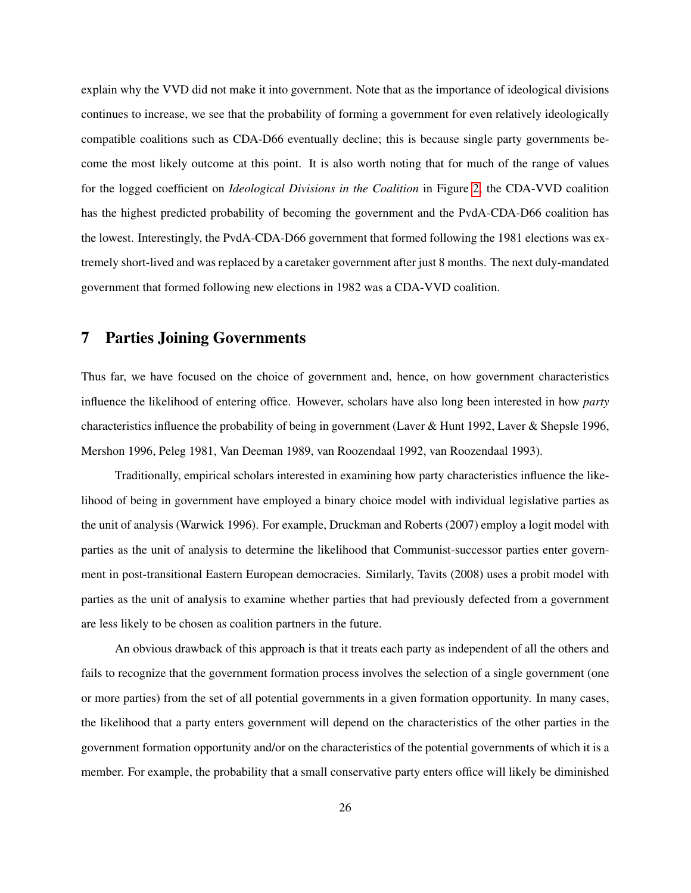explain why the VVD did not make it into government. Note that as the importance of ideological divisions continues to increase, we see that the probability of forming a government for even relatively ideologically compatible coalitions such as CDA-D66 eventually decline; this is because single party governments become the most likely outcome at this point. It is also worth noting that for much of the range of values for the logged coefficient on *Ideological Divisions in the Coalition* in Figure [2,](#page-21-0) the CDA-VVD coalition has the highest predicted probability of becoming the government and the PvdA-CDA-D66 coalition has the lowest. Interestingly, the PvdA-CDA-D66 government that formed following the 1981 elections was extremely short-lived and was replaced by a caretaker government after just 8 months. The next duly-mandated government that formed following new elections in 1982 was a CDA-VVD coalition.

# 7 Parties Joining Governments

Thus far, we have focused on the choice of government and, hence, on how government characteristics influence the likelihood of entering office. However, scholars have also long been interested in how *party* characteristics influence the probability of being in government (Laver & Hunt 1992, Laver & Shepsle 1996, Mershon 1996, Peleg 1981, Van Deeman 1989, van Roozendaal 1992, van Roozendaal 1993).

Traditionally, empirical scholars interested in examining how party characteristics influence the likelihood of being in government have employed a binary choice model with individual legislative parties as the unit of analysis (Warwick 1996). For example, Druckman and Roberts (2007) employ a logit model with parties as the unit of analysis to determine the likelihood that Communist-successor parties enter government in post-transitional Eastern European democracies. Similarly, Tavits (2008) uses a probit model with parties as the unit of analysis to examine whether parties that had previously defected from a government are less likely to be chosen as coalition partners in the future.

An obvious drawback of this approach is that it treats each party as independent of all the others and fails to recognize that the government formation process involves the selection of a single government (one or more parties) from the set of all potential governments in a given formation opportunity. In many cases, the likelihood that a party enters government will depend on the characteristics of the other parties in the government formation opportunity and/or on the characteristics of the potential governments of which it is a member. For example, the probability that a small conservative party enters office will likely be diminished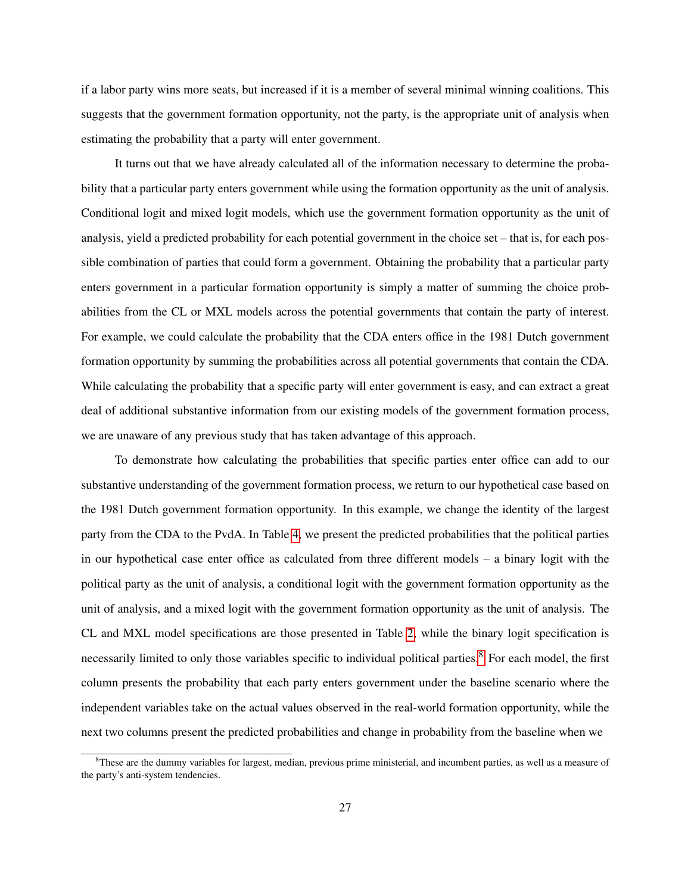if a labor party wins more seats, but increased if it is a member of several minimal winning coalitions. This suggests that the government formation opportunity, not the party, is the appropriate unit of analysis when estimating the probability that a party will enter government.

It turns out that we have already calculated all of the information necessary to determine the probability that a particular party enters government while using the formation opportunity as the unit of analysis. Conditional logit and mixed logit models, which use the government formation opportunity as the unit of analysis, yield a predicted probability for each potential government in the choice set – that is, for each possible combination of parties that could form a government. Obtaining the probability that a particular party enters government in a particular formation opportunity is simply a matter of summing the choice probabilities from the CL or MXL models across the potential governments that contain the party of interest. For example, we could calculate the probability that the CDA enters office in the 1981 Dutch government formation opportunity by summing the probabilities across all potential governments that contain the CDA. While calculating the probability that a specific party will enter government is easy, and can extract a great deal of additional substantive information from our existing models of the government formation process, we are unaware of any previous study that has taken advantage of this approach.

To demonstrate how calculating the probabilities that specific parties enter office can add to our substantive understanding of the government formation process, we return to our hypothetical case based on the 1981 Dutch government formation opportunity. In this example, we change the identity of the largest party from the CDA to the PvdA. In Table [4,](#page-28-0) we present the predicted probabilities that the political parties in our hypothetical case enter office as calculated from three different models – a binary logit with the political party as the unit of analysis, a conditional logit with the government formation opportunity as the unit of analysis, and a mixed logit with the government formation opportunity as the unit of analysis. The CL and MXL model specifications are those presented in Table [2,](#page-16-0) while the binary logit specification is necessarily limited to only those variables specific to individual political parties.<sup>[8](#page-27-0)</sup> For each model, the first column presents the probability that each party enters government under the baseline scenario where the independent variables take on the actual values observed in the real-world formation opportunity, while the next two columns present the predicted probabilities and change in probability from the baseline when we

<span id="page-27-0"></span><sup>&</sup>lt;sup>8</sup>These are the dummy variables for largest, median, previous prime ministerial, and incumbent parties, as well as a measure of the party's anti-system tendencies.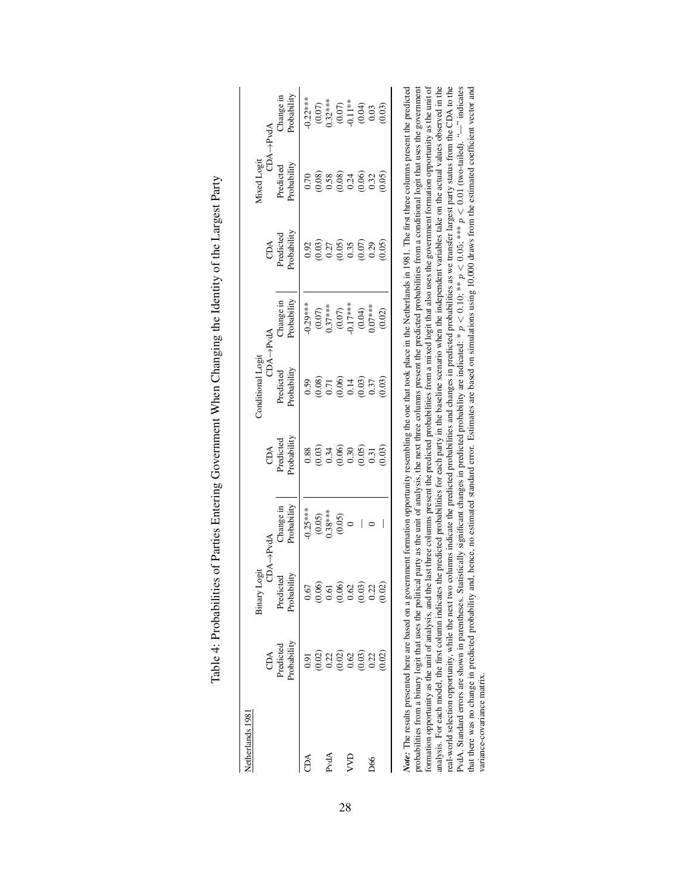<span id="page-28-0"></span>

| Netherlands 1981 |                                             | Logit<br>Binary              |                          |                                    | Conditional Logit                                                             |                                                                                                               |                                                                               | <b>Aixed</b> Logit       |                                                                                                          |
|------------------|---------------------------------------------|------------------------------|--------------------------|------------------------------------|-------------------------------------------------------------------------------|---------------------------------------------------------------------------------------------------------------|-------------------------------------------------------------------------------|--------------------------|----------------------------------------------------------------------------------------------------------|
|                  | CDA                                         |                              | CDA->PvdA                |                                    |                                                                               | $CDA \rightarrow PvdA$                                                                                        | CDA                                                                           | CDA->PvdA                |                                                                                                          |
|                  | Probability<br>Predicted                    | Probability<br>icted<br>Pred | Probability<br>Change in | Probability<br>CDA<br>Predicted    | Probability<br>Predicted                                                      | Probability<br>Thange in                                                                                      | Probability<br>Predicted                                                      | Probability<br>Predicted | Probability<br>Change in                                                                                 |
| CDA              | 5.5                                         | 0.67                         | $0.25***$                | 0.88                               | 0.59                                                                          | $-0.29***$                                                                                                    | 0.92                                                                          | 0.70                     | $0.22***$                                                                                                |
|                  |                                             | (0.06)                       |                          |                                    | $\begin{array}{c} (0.08) \\ 0.71 \\ 0.06 \\ 0.14 \\ 0.14 \\ 0.03 \end{array}$ |                                                                                                               |                                                                               |                          |                                                                                                          |
| PvdA             | $\begin{array}{c} 0.02 \\ 0.22 \end{array}$ | 0.61                         | $\frac{(0.05)}{0.38***}$ |                                    |                                                                               |                                                                                                               |                                                                               |                          |                                                                                                          |
|                  | $^{(0.02)}_{0.62}$                          | (0.06)                       | (0.05)                   | $(0.03)$<br>0.34<br>0.000<br>0.05) |                                                                               | $\begin{array}{c} (0.07) \\ 0.37*** \\ (0.07) \\ (0.07) \\ (0.04) \\ (0.04) \\ (0.04) \\ 0.07*** \end{array}$ | $\begin{array}{c} (0.03) \\ 0.27 \\ 0.05 \\ 0.35 \\ 0.07 \\ 0.07 \end{array}$ |                          | $\begin{array}{c} (0.07) \\ 0.32^{***} \\ (0.07) \\ (0.04) \\ (0.04) \\ (0.04) \\ (0.03) \\ \end{array}$ |
| ξ                |                                             | $\mathcal{S}$                |                          |                                    |                                                                               |                                                                                                               |                                                                               |                          |                                                                                                          |
|                  | (0.03)                                      | (0.03)                       | I                        |                                    |                                                                               |                                                                                                               |                                                                               |                          |                                                                                                          |
| D66              | 0.22                                        | 0.22                         |                          | 0.31                               | 0.37                                                                          |                                                                                                               |                                                                               |                          |                                                                                                          |
|                  | 0.02                                        |                              | I                        | (0.03)                             | (0.03)                                                                        | (0.02)                                                                                                        | (0.05)                                                                        | (0.05)                   | (0.03)                                                                                                   |

| I                                                                                                                                                                                                                                                                                                                                                                                                                                                           |
|-------------------------------------------------------------------------------------------------------------------------------------------------------------------------------------------------------------------------------------------------------------------------------------------------------------------------------------------------------------------------------------------------------------------------------------------------------------|
| וֹת<br> <br> }<br>١                                                                                                                                                                                                                                                                                                                                                                                                                                         |
| ،<br>،                                                                                                                                                                                                                                                                                                                                                                                                                                                      |
| .<br>.<br>.<br>l                                                                                                                                                                                                                                                                                                                                                                                                                                            |
| $\overline{)}$                                                                                                                                                                                                                                                                                                                                                                                                                                              |
| Ì                                                                                                                                                                                                                                                                                                                                                                                                                                                           |
| -<br>-<br>-<br>-<br>$\begin{array}{c} \mathbf{1} & \mathbf{2} & \mathbf{3} & \mathbf{4} \\ \mathbf{3} & \mathbf{4} & \mathbf{5} & \mathbf{5} \\ \mathbf{4} & \mathbf{5} & \mathbf{5} & \mathbf{6} \\ \mathbf{6} & \mathbf{6} & \mathbf{6} & \mathbf{6} \\ \mathbf{6} & \mathbf{6} & \mathbf{6} & \mathbf{6} \\ \mathbf{6} & \mathbf{6} & \mathbf{6} & \mathbf{6} \\ \mathbf{6} & \mathbf{6} & \mathbf{6} & \mathbf{6} \\ \mathbf{6} & \mathbf{6} & \mathbf$ |
| ζ<br>$\frac{1}{2}$<br>)<br>l                                                                                                                                                                                                                                                                                                                                                                                                                                |
|                                                                                                                                                                                                                                                                                                                                                                                                                                                             |
| .<br>.<br>.                                                                                                                                                                                                                                                                                                                                                                                                                                                 |
| $T_0$ $L_1 \sim 4$ . $D_{\text{max}}$<br>֧֧֧֧֧֦֧֧֦֧֧֧֧֧֧֧֧֧֧֚֚֚֚֚֚֚֚֚֚֚֚֚֚֚֚֚֚֝֓֓֝֓֕֓֕֓֝֬֝֟֓֝֬֝֓֝֬֝֓֟֓֝֓֝֬֝֓֝֬֝֬֝֬֝֬֝֬֝֬֝<br>i                                                                                                                                                                                                                                                                                                                              |

Note: The results present the the text of any apoculation in the matrix included probabilities from a not particular surface in the second product and your intervals present the predicted probability in the base of party probabilities from a binary logit that uses the political party as the unit of analysis, the next three columns present the predicted probabilities from a conditional logit that uses the government formation opportunity as the unit of analysis, and the last three columns present the predicted probabilities from a mixed logit that also uses the government formation opportunity as the unit of *Note:* The results presented here are based on a government formation opportunity resembling the one that took place in the Netherlands in 1981. The first three columns present the predicted analysis. For each model, the first column indicates the predicted probabilities for each party in the baseline scenario when the independent variables take on the actual values observed in the real-world selection opportunity, while the next two columns indicate the predicted probabilities and changes in predicted probabilities as we transfer largest party status from the CDA to the PvdA. Standard errors are shown in parentheses. Statistically significant changes in predicted probability are indicated:  $* p < 0.10;$   $** p < 0.05$ ,  $*** p < 0.01$  (two-tailed). " $-$ " indicates  $...$  indicates  $...$  are all th that there was no change in predicted probability and, hence, no estimated standard error. Estimates are based on simulations using 10,000 draws from the estimated coefficient vector and variance-covariance matrix. variance-covariance matrix.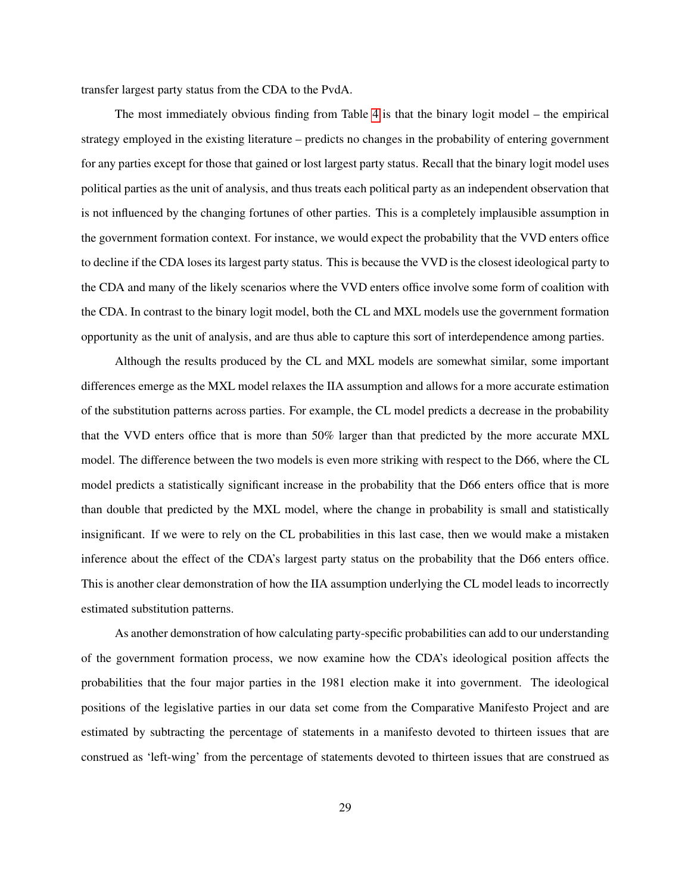transfer largest party status from the CDA to the PvdA.

The most immediately obvious finding from Table [4](#page-28-0) is that the binary logit model – the empirical strategy employed in the existing literature – predicts no changes in the probability of entering government for any parties except for those that gained or lost largest party status. Recall that the binary logit model uses political parties as the unit of analysis, and thus treats each political party as an independent observation that is not influenced by the changing fortunes of other parties. This is a completely implausible assumption in the government formation context. For instance, we would expect the probability that the VVD enters office to decline if the CDA loses its largest party status. This is because the VVD is the closest ideological party to the CDA and many of the likely scenarios where the VVD enters office involve some form of coalition with the CDA. In contrast to the binary logit model, both the CL and MXL models use the government formation opportunity as the unit of analysis, and are thus able to capture this sort of interdependence among parties.

Although the results produced by the CL and MXL models are somewhat similar, some important differences emerge as the MXL model relaxes the IIA assumption and allows for a more accurate estimation of the substitution patterns across parties. For example, the CL model predicts a decrease in the probability that the VVD enters office that is more than 50% larger than that predicted by the more accurate MXL model. The difference between the two models is even more striking with respect to the D66, where the CL model predicts a statistically significant increase in the probability that the D66 enters office that is more than double that predicted by the MXL model, where the change in probability is small and statistically insignificant. If we were to rely on the CL probabilities in this last case, then we would make a mistaken inference about the effect of the CDA's largest party status on the probability that the D66 enters office. This is another clear demonstration of how the IIA assumption underlying the CL model leads to incorrectly estimated substitution patterns.

As another demonstration of how calculating party-specific probabilities can add to our understanding of the government formation process, we now examine how the CDA's ideological position affects the probabilities that the four major parties in the 1981 election make it into government. The ideological positions of the legislative parties in our data set come from the Comparative Manifesto Project and are estimated by subtracting the percentage of statements in a manifesto devoted to thirteen issues that are construed as 'left-wing' from the percentage of statements devoted to thirteen issues that are construed as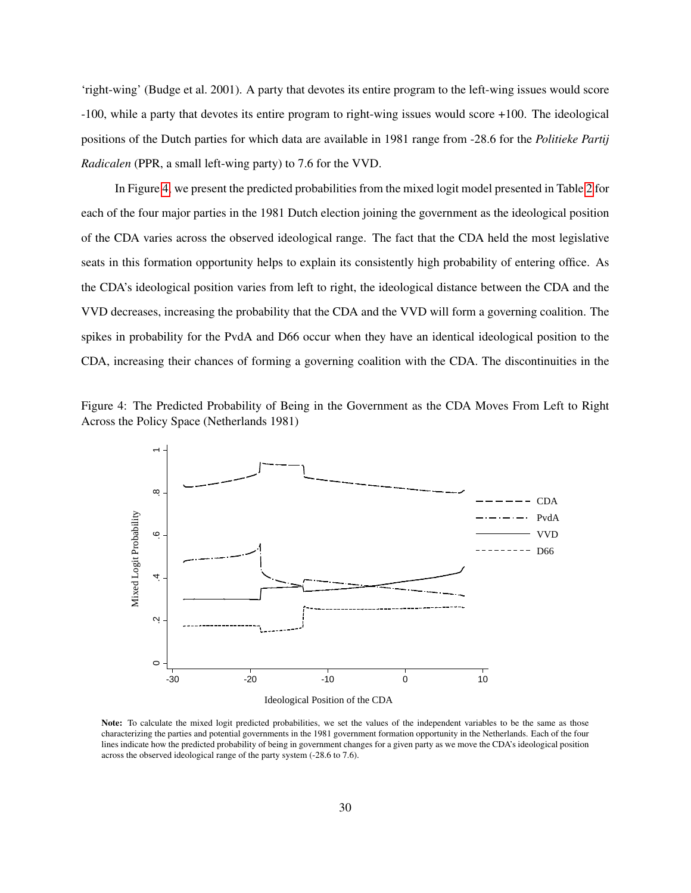'right-wing' (Budge et al. 2001). A party that devotes its entire program to the left-wing issues would score -100, while a party that devotes its entire program to right-wing issues would score +100. The ideological positions of the Dutch parties for which data are available in 1981 range from -28.6 for the *Politieke Partij Radicalen* (PPR, a small left-wing party) to 7.6 for the VVD.

In Figure [4,](#page-30-0) we present the predicted probabilities from the mixed logit model presented in Table [2](#page-16-0) for each of the four major parties in the 1981 Dutch election joining the government as the ideological position of the CDA varies across the observed ideological range. The fact that the CDA held the most legislative seats in this formation opportunity helps to explain its consistently high probability of entering office. As the CDA's ideological position varies from left to right, the ideological distance between the CDA and the VVD decreases, increasing the probability that the CDA and the VVD will form a governing coalition. The spikes in probability for the PvdA and D66 occur when they have an identical ideological position to the CDA, increasing their chances of forming a governing coalition with the CDA. The discontinuities in the



<span id="page-30-0"></span>

Note: To calculate the mixed logit predicted probabilities, we set the values of the independent variables to be the same as those characterizing the parties and potential governments in the 1981 government formation opportunity in the Netherlands. Each of the four lines indicate how the predicted probability of being in government changes for a given party as we move the CDA's ideological position across the observed ideological range of the party system (-28.6 to 7.6).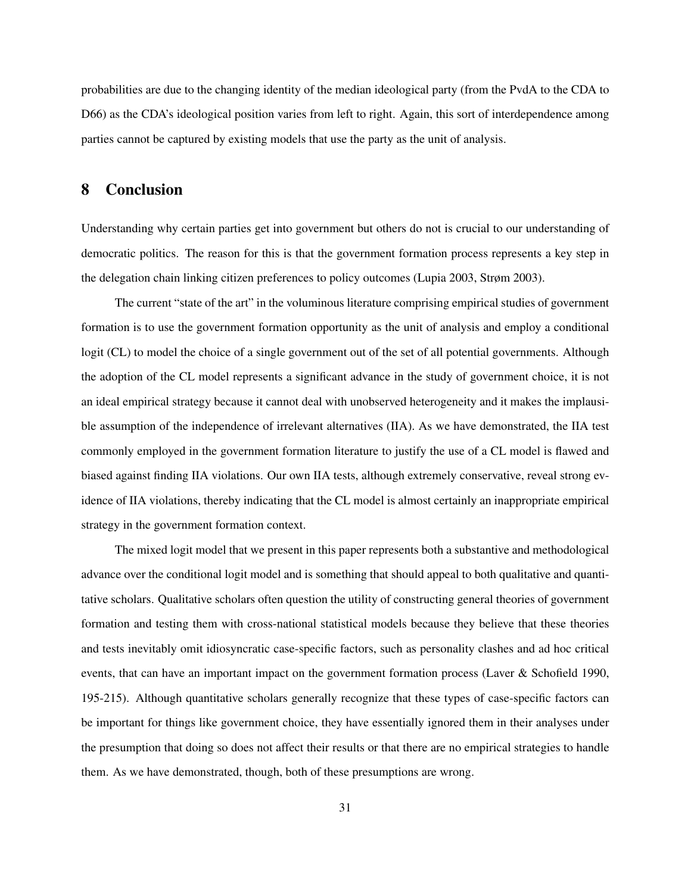probabilities are due to the changing identity of the median ideological party (from the PvdA to the CDA to D66) as the CDA's ideological position varies from left to right. Again, this sort of interdependence among parties cannot be captured by existing models that use the party as the unit of analysis.

#### 8 Conclusion

Understanding why certain parties get into government but others do not is crucial to our understanding of democratic politics. The reason for this is that the government formation process represents a key step in the delegation chain linking citizen preferences to policy outcomes (Lupia 2003, Strøm 2003).

The current "state of the art" in the voluminous literature comprising empirical studies of government formation is to use the government formation opportunity as the unit of analysis and employ a conditional logit (CL) to model the choice of a single government out of the set of all potential governments. Although the adoption of the CL model represents a significant advance in the study of government choice, it is not an ideal empirical strategy because it cannot deal with unobserved heterogeneity and it makes the implausible assumption of the independence of irrelevant alternatives (IIA). As we have demonstrated, the IIA test commonly employed in the government formation literature to justify the use of a CL model is flawed and biased against finding IIA violations. Our own IIA tests, although extremely conservative, reveal strong evidence of IIA violations, thereby indicating that the CL model is almost certainly an inappropriate empirical strategy in the government formation context.

The mixed logit model that we present in this paper represents both a substantive and methodological advance over the conditional logit model and is something that should appeal to both qualitative and quantitative scholars. Qualitative scholars often question the utility of constructing general theories of government formation and testing them with cross-national statistical models because they believe that these theories and tests inevitably omit idiosyncratic case-specific factors, such as personality clashes and ad hoc critical events, that can have an important impact on the government formation process (Laver & Schofield 1990, 195-215). Although quantitative scholars generally recognize that these types of case-specific factors can be important for things like government choice, they have essentially ignored them in their analyses under the presumption that doing so does not affect their results or that there are no empirical strategies to handle them. As we have demonstrated, though, both of these presumptions are wrong.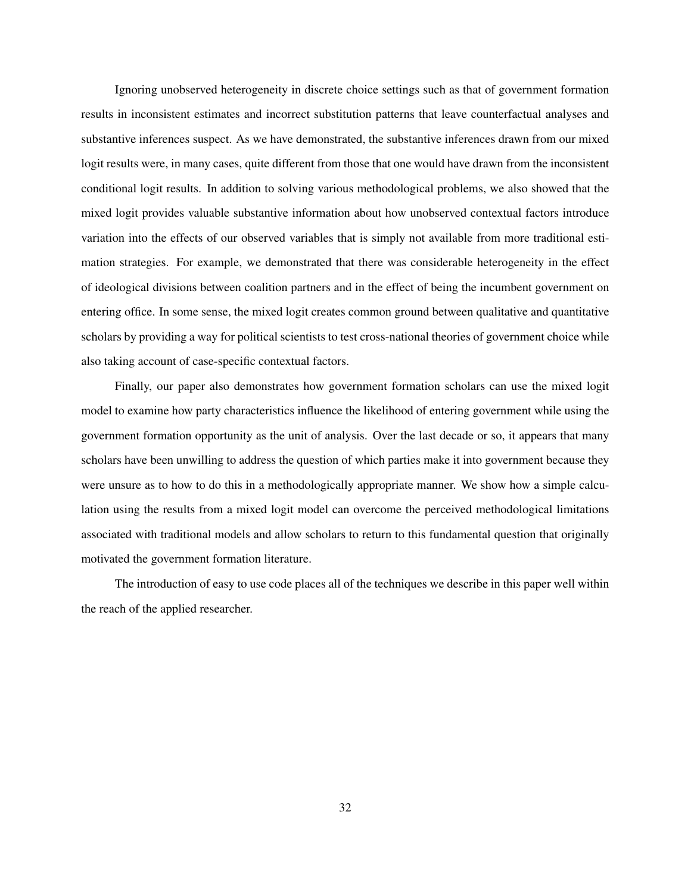Ignoring unobserved heterogeneity in discrete choice settings such as that of government formation results in inconsistent estimates and incorrect substitution patterns that leave counterfactual analyses and substantive inferences suspect. As we have demonstrated, the substantive inferences drawn from our mixed logit results were, in many cases, quite different from those that one would have drawn from the inconsistent conditional logit results. In addition to solving various methodological problems, we also showed that the mixed logit provides valuable substantive information about how unobserved contextual factors introduce variation into the effects of our observed variables that is simply not available from more traditional estimation strategies. For example, we demonstrated that there was considerable heterogeneity in the effect of ideological divisions between coalition partners and in the effect of being the incumbent government on entering office. In some sense, the mixed logit creates common ground between qualitative and quantitative scholars by providing a way for political scientists to test cross-national theories of government choice while also taking account of case-specific contextual factors.

Finally, our paper also demonstrates how government formation scholars can use the mixed logit model to examine how party characteristics influence the likelihood of entering government while using the government formation opportunity as the unit of analysis. Over the last decade or so, it appears that many scholars have been unwilling to address the question of which parties make it into government because they were unsure as to how to do this in a methodologically appropriate manner. We show how a simple calculation using the results from a mixed logit model can overcome the perceived methodological limitations associated with traditional models and allow scholars to return to this fundamental question that originally motivated the government formation literature.

The introduction of easy to use code places all of the techniques we describe in this paper well within the reach of the applied researcher.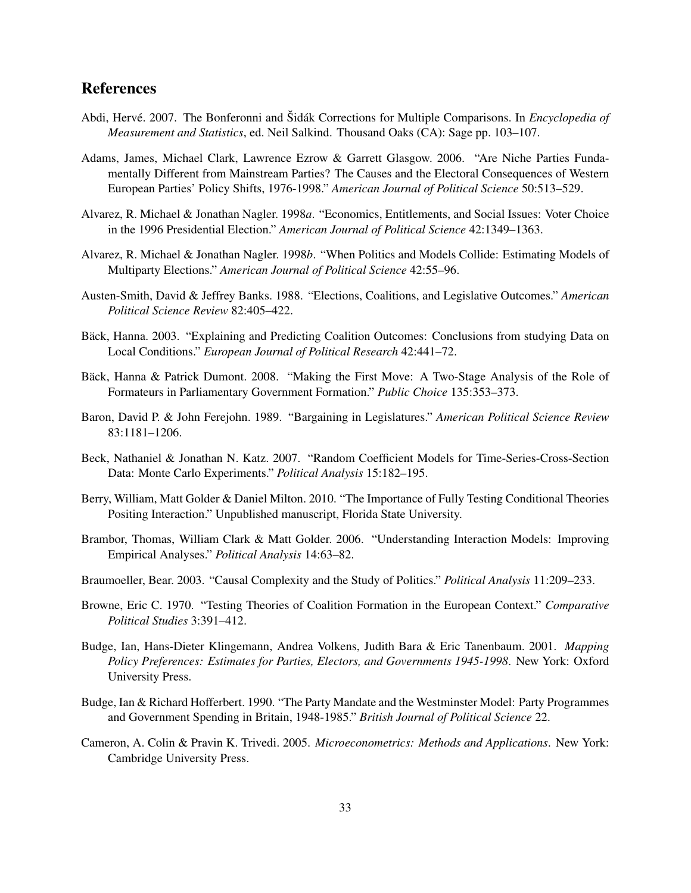# References

- Abdi, Hervé. 2007. The Bonferonni and Šidák Corrections for Multiple Comparisons. In *Encyclopedia of Measurement and Statistics*, ed. Neil Salkind. Thousand Oaks (CA): Sage pp. 103–107.
- Adams, James, Michael Clark, Lawrence Ezrow & Garrett Glasgow. 2006. "Are Niche Parties Fundamentally Different from Mainstream Parties? The Causes and the Electoral Consequences of Western European Parties' Policy Shifts, 1976-1998." *American Journal of Political Science* 50:513–529.
- Alvarez, R. Michael & Jonathan Nagler. 1998*a*. "Economics, Entitlements, and Social Issues: Voter Choice in the 1996 Presidential Election." *American Journal of Political Science* 42:1349–1363.
- Alvarez, R. Michael & Jonathan Nagler. 1998*b*. "When Politics and Models Collide: Estimating Models of Multiparty Elections." *American Journal of Political Science* 42:55–96.
- Austen-Smith, David & Jeffrey Banks. 1988. "Elections, Coalitions, and Legislative Outcomes." *American Political Science Review* 82:405–422.
- Bäck, Hanna. 2003. "Explaining and Predicting Coalition Outcomes: Conclusions from studying Data on Local Conditions." *European Journal of Political Research* 42:441–72.
- Bäck, Hanna & Patrick Dumont. 2008. "Making the First Move: A Two-Stage Analysis of the Role of Formateurs in Parliamentary Government Formation." *Public Choice* 135:353–373.
- Baron, David P. & John Ferejohn. 1989. "Bargaining in Legislatures." *American Political Science Review* 83:1181–1206.
- Beck, Nathaniel & Jonathan N. Katz. 2007. "Random Coefficient Models for Time-Series-Cross-Section Data: Monte Carlo Experiments." *Political Analysis* 15:182–195.
- Berry, William, Matt Golder & Daniel Milton. 2010. "The Importance of Fully Testing Conditional Theories Positing Interaction." Unpublished manuscript, Florida State University.
- Brambor, Thomas, William Clark & Matt Golder. 2006. "Understanding Interaction Models: Improving Empirical Analyses." *Political Analysis* 14:63–82.
- Braumoeller, Bear. 2003. "Causal Complexity and the Study of Politics." *Political Analysis* 11:209–233.
- Browne, Eric C. 1970. "Testing Theories of Coalition Formation in the European Context." *Comparative Political Studies* 3:391–412.
- Budge, Ian, Hans-Dieter Klingemann, Andrea Volkens, Judith Bara & Eric Tanenbaum. 2001. *Mapping Policy Preferences: Estimates for Parties, Electors, and Governments 1945-1998*. New York: Oxford University Press.
- Budge, Ian & Richard Hofferbert. 1990. "The Party Mandate and the Westminster Model: Party Programmes and Government Spending in Britain, 1948-1985." *British Journal of Political Science* 22.
- Cameron, A. Colin & Pravin K. Trivedi. 2005. *Microeconometrics: Methods and Applications*. New York: Cambridge University Press.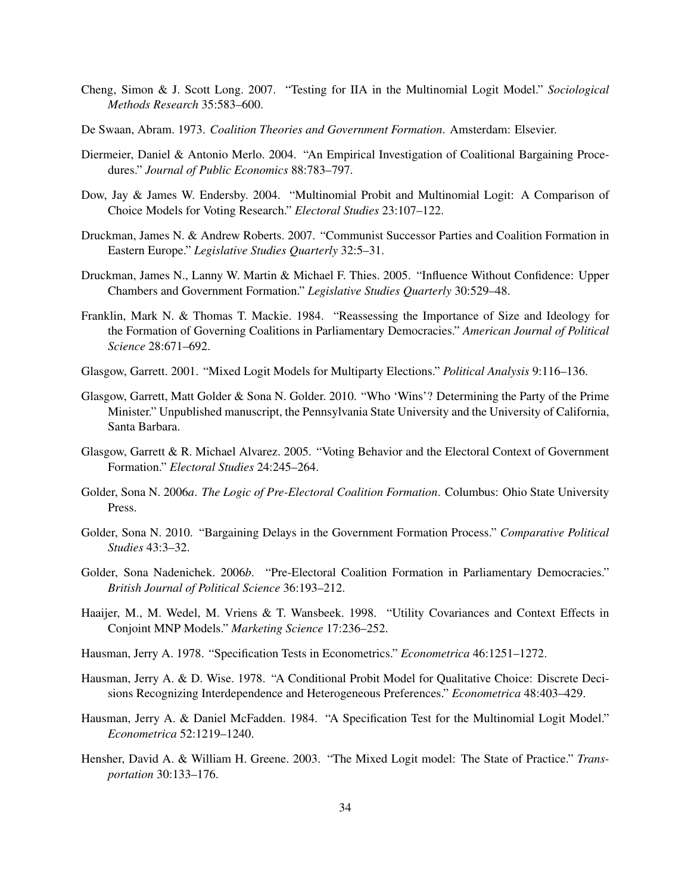- Cheng, Simon & J. Scott Long. 2007. "Testing for IIA in the Multinomial Logit Model." *Sociological Methods Research* 35:583–600.
- De Swaan, Abram. 1973. *Coalition Theories and Government Formation*. Amsterdam: Elsevier.
- Diermeier, Daniel & Antonio Merlo. 2004. "An Empirical Investigation of Coalitional Bargaining Procedures." *Journal of Public Economics* 88:783–797.
- Dow, Jay & James W. Endersby. 2004. "Multinomial Probit and Multinomial Logit: A Comparison of Choice Models for Voting Research." *Electoral Studies* 23:107–122.
- Druckman, James N. & Andrew Roberts. 2007. "Communist Successor Parties and Coalition Formation in Eastern Europe." *Legislative Studies Quarterly* 32:5–31.
- Druckman, James N., Lanny W. Martin & Michael F. Thies. 2005. "Influence Without Confidence: Upper Chambers and Government Formation." *Legislative Studies Quarterly* 30:529–48.
- Franklin, Mark N. & Thomas T. Mackie. 1984. "Reassessing the Importance of Size and Ideology for the Formation of Governing Coalitions in Parliamentary Democracies." *American Journal of Political Science* 28:671–692.
- Glasgow, Garrett. 2001. "Mixed Logit Models for Multiparty Elections." *Political Analysis* 9:116–136.
- Glasgow, Garrett, Matt Golder & Sona N. Golder. 2010. "Who 'Wins'? Determining the Party of the Prime Minister." Unpublished manuscript, the Pennsylvania State University and the University of California, Santa Barbara.
- Glasgow, Garrett & R. Michael Alvarez. 2005. "Voting Behavior and the Electoral Context of Government Formation." *Electoral Studies* 24:245–264.
- Golder, Sona N. 2006*a*. *The Logic of Pre-Electoral Coalition Formation*. Columbus: Ohio State University Press.
- Golder, Sona N. 2010. "Bargaining Delays in the Government Formation Process." *Comparative Political Studies* 43:3–32.
- Golder, Sona Nadenichek. 2006*b*. "Pre-Electoral Coalition Formation in Parliamentary Democracies." *British Journal of Political Science* 36:193–212.
- Haaijer, M., M. Wedel, M. Vriens & T. Wansbeek. 1998. "Utility Covariances and Context Effects in Conjoint MNP Models." *Marketing Science* 17:236–252.
- Hausman, Jerry A. 1978. "Specification Tests in Econometrics." *Econometrica* 46:1251–1272.
- Hausman, Jerry A. & D. Wise. 1978. "A Conditional Probit Model for Qualitative Choice: Discrete Decisions Recognizing Interdependence and Heterogeneous Preferences." *Econometrica* 48:403–429.
- Hausman, Jerry A. & Daniel McFadden. 1984. "A Specification Test for the Multinomial Logit Model." *Econometrica* 52:1219–1240.
- Hensher, David A. & William H. Greene. 2003. "The Mixed Logit model: The State of Practice." *Transportation* 30:133–176.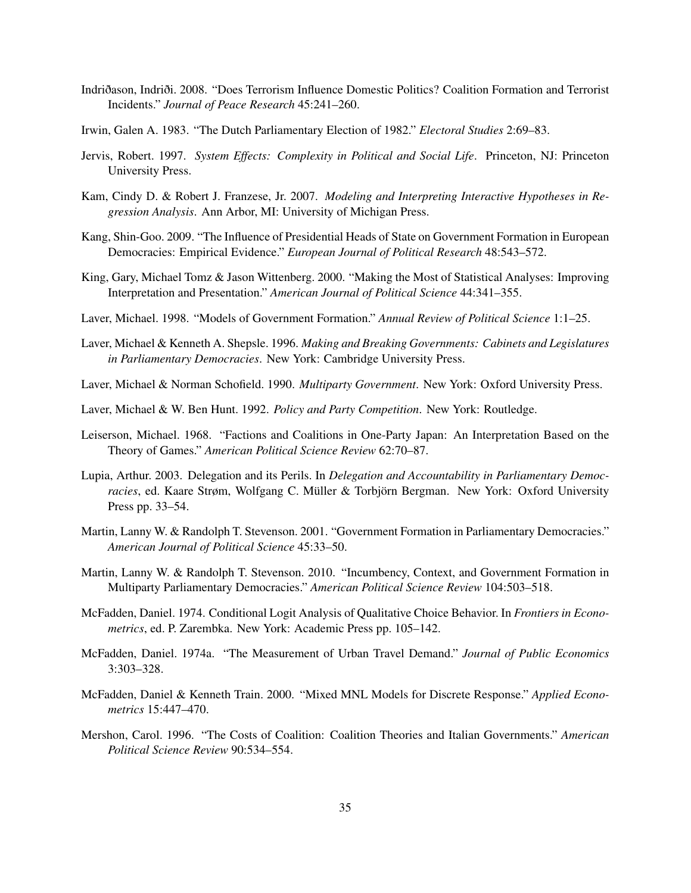- Indriðason, Indriði. 2008. "Does Terrorism Influence Domestic Politics? Coalition Formation and Terrorist Incidents." *Journal of Peace Research* 45:241–260.
- Irwin, Galen A. 1983. "The Dutch Parliamentary Election of 1982." *Electoral Studies* 2:69–83.
- Jervis, Robert. 1997. *System Effects: Complexity in Political and Social Life*. Princeton, NJ: Princeton University Press.
- Kam, Cindy D. & Robert J. Franzese, Jr. 2007. *Modeling and Interpreting Interactive Hypotheses in Regression Analysis*. Ann Arbor, MI: University of Michigan Press.
- Kang, Shin-Goo. 2009. "The Influence of Presidential Heads of State on Government Formation in European Democracies: Empirical Evidence." *European Journal of Political Research* 48:543–572.
- King, Gary, Michael Tomz & Jason Wittenberg. 2000. "Making the Most of Statistical Analyses: Improving Interpretation and Presentation." *American Journal of Political Science* 44:341–355.
- Laver, Michael. 1998. "Models of Government Formation." *Annual Review of Political Science* 1:1–25.
- Laver, Michael & Kenneth A. Shepsle. 1996. *Making and Breaking Governments: Cabinets and Legislatures in Parliamentary Democracies*. New York: Cambridge University Press.
- Laver, Michael & Norman Schofield. 1990. *Multiparty Government*. New York: Oxford University Press.
- Laver, Michael & W. Ben Hunt. 1992. *Policy and Party Competition*. New York: Routledge.
- Leiserson, Michael. 1968. "Factions and Coalitions in One-Party Japan: An Interpretation Based on the Theory of Games." *American Political Science Review* 62:70–87.
- Lupia, Arthur. 2003. Delegation and its Perils. In *Delegation and Accountability in Parliamentary Democracies*, ed. Kaare Strøm, Wolfgang C. Müller & Torbjörn Bergman. New York: Oxford University Press pp. 33–54.
- Martin, Lanny W. & Randolph T. Stevenson. 2001. "Government Formation in Parliamentary Democracies." *American Journal of Political Science* 45:33–50.
- Martin, Lanny W. & Randolph T. Stevenson. 2010. "Incumbency, Context, and Government Formation in Multiparty Parliamentary Democracies." *American Political Science Review* 104:503–518.
- McFadden, Daniel. 1974. Conditional Logit Analysis of Qualitative Choice Behavior. In *Frontiers in Econometrics*, ed. P. Zarembka. New York: Academic Press pp. 105–142.
- McFadden, Daniel. 1974a. "The Measurement of Urban Travel Demand." *Journal of Public Economics* 3:303–328.
- McFadden, Daniel & Kenneth Train. 2000. "Mixed MNL Models for Discrete Response." *Applied Econometrics* 15:447–470.
- Mershon, Carol. 1996. "The Costs of Coalition: Coalition Theories and Italian Governments." *American Political Science Review* 90:534–554.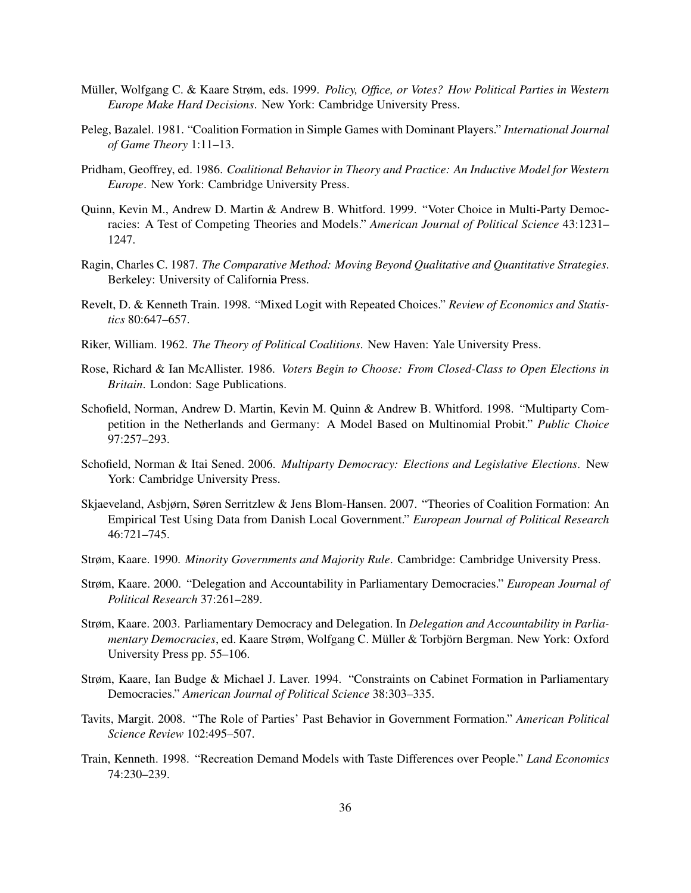- Müller, Wolfgang C. & Kaare Strøm, eds. 1999. *Policy, Office, or Votes? How Political Parties in Western Europe Make Hard Decisions*. New York: Cambridge University Press.
- Peleg, Bazalel. 1981. "Coalition Formation in Simple Games with Dominant Players." *International Journal of Game Theory* 1:11–13.
- Pridham, Geoffrey, ed. 1986. *Coalitional Behavior in Theory and Practice: An Inductive Model for Western Europe*. New York: Cambridge University Press.
- Quinn, Kevin M., Andrew D. Martin & Andrew B. Whitford. 1999. "Voter Choice in Multi-Party Democracies: A Test of Competing Theories and Models." *American Journal of Political Science* 43:1231– 1247.
- Ragin, Charles C. 1987. *The Comparative Method: Moving Beyond Qualitative and Quantitative Strategies*. Berkeley: University of California Press.
- Revelt, D. & Kenneth Train. 1998. "Mixed Logit with Repeated Choices." *Review of Economics and Statistics* 80:647–657.
- Riker, William. 1962. *The Theory of Political Coalitions*. New Haven: Yale University Press.
- Rose, Richard & Ian McAllister. 1986. *Voters Begin to Choose: From Closed-Class to Open Elections in Britain*. London: Sage Publications.
- Schofield, Norman, Andrew D. Martin, Kevin M. Quinn & Andrew B. Whitford. 1998. "Multiparty Competition in the Netherlands and Germany: A Model Based on Multinomial Probit." *Public Choice* 97:257–293.
- Schofield, Norman & Itai Sened. 2006. *Multiparty Democracy: Elections and Legislative Elections*. New York: Cambridge University Press.
- Skjaeveland, Asbjørn, Søren Serritzlew & Jens Blom-Hansen. 2007. "Theories of Coalition Formation: An Empirical Test Using Data from Danish Local Government." *European Journal of Political Research* 46:721–745.
- Strøm, Kaare. 1990. *Minority Governments and Majority Rule*. Cambridge: Cambridge University Press.
- Strøm, Kaare. 2000. "Delegation and Accountability in Parliamentary Democracies." *European Journal of Political Research* 37:261–289.
- Strøm, Kaare. 2003. Parliamentary Democracy and Delegation. In *Delegation and Accountability in Parliamentary Democracies*, ed. Kaare Strøm, Wolfgang C. Müller & Torbjörn Bergman. New York: Oxford University Press pp. 55–106.
- Strøm, Kaare, Ian Budge & Michael J. Laver. 1994. "Constraints on Cabinet Formation in Parliamentary Democracies." *American Journal of Political Science* 38:303–335.
- Tavits, Margit. 2008. "The Role of Parties' Past Behavior in Government Formation." *American Political Science Review* 102:495–507.
- Train, Kenneth. 1998. "Recreation Demand Models with Taste Differences over People." *Land Economics* 74:230–239.